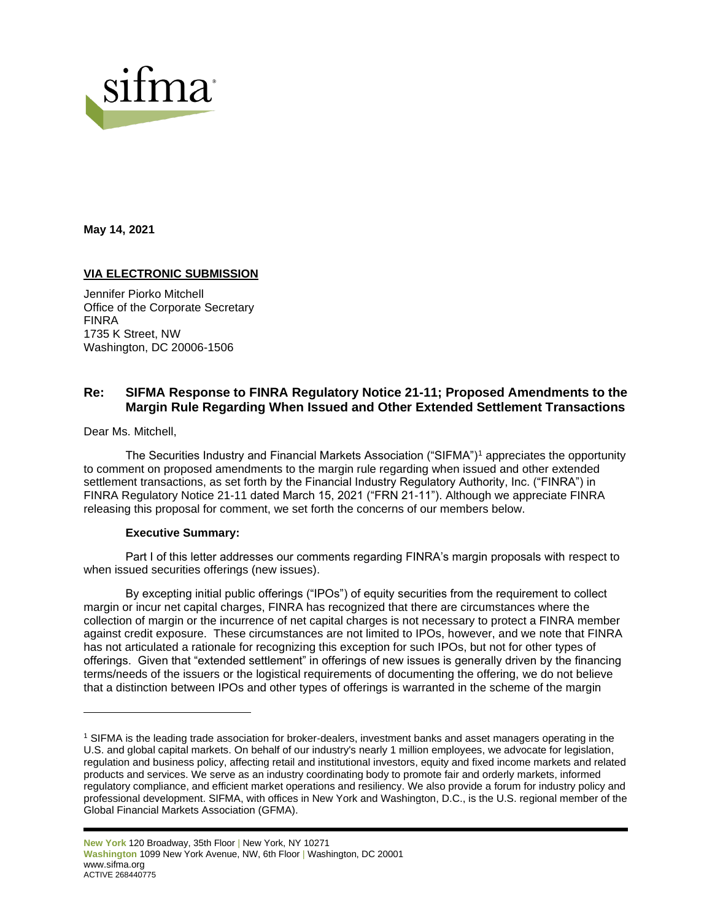

**May 14, 2021**

# **VIA ELECTRONIC SUBMISSION**

Jennifer Piorko Mitchell Office of the Corporate Secretary FINRA 1735 K Street, NW Washington, DC 20006-1506

# **Re: SIFMA Response to FINRA Regulatory Notice 21-11; Proposed Amendments to the Margin Rule Regarding When Issued and Other Extended Settlement Transactions**

Dear Ms. Mitchell,

The Securities Industry and Financial Markets Association ("SIFMA")<sup>1</sup> appreciates the opportunity to comment on proposed amendments to the margin rule regarding when issued and other extended settlement transactions, as set forth by the Financial Industry Regulatory Authority, Inc. ("FINRA") in FINRA Regulatory Notice 21-11 dated March 15, 2021 ("FRN 21-11"). Although we appreciate FINRA releasing this proposal for comment, we set forth the concerns of our members below.

#### **Executive Summary:**

Part I of this letter addresses our comments regarding FINRA's margin proposals with respect to when issued securities offerings (new issues).

By excepting initial public offerings ("IPOs") of equity securities from the requirement to collect margin or incur net capital charges, FINRA has recognized that there are circumstances where the collection of margin or the incurrence of net capital charges is not necessary to protect a FINRA member against credit exposure. These circumstances are not limited to IPOs, however, and we note that FINRA has not articulated a rationale for recognizing this exception for such IPOs, but not for other types of offerings. Given that "extended settlement" in offerings of new issues is generally driven by the financing terms/needs of the issuers or the logistical requirements of documenting the offering, we do not believe that a distinction between IPOs and other types of offerings is warranted in the scheme of the margin

<sup>1</sup> SIFMA is the leading trade association for broker-dealers, investment banks and asset managers operating in the U.S. and global capital markets. On behalf of our industry's nearly 1 million employees, we advocate for legislation, regulation and business policy, affecting retail and institutional investors, equity and fixed income markets and related products and services. We serve as an industry coordinating body to promote fair and orderly markets, informed regulatory compliance, and efficient market operations and resiliency. We also provide a forum for industry policy and professional development. SIFMA, with offices in New York and Washington, D.C., is the U.S. regional member of the Global Financial Markets Association (GFMA).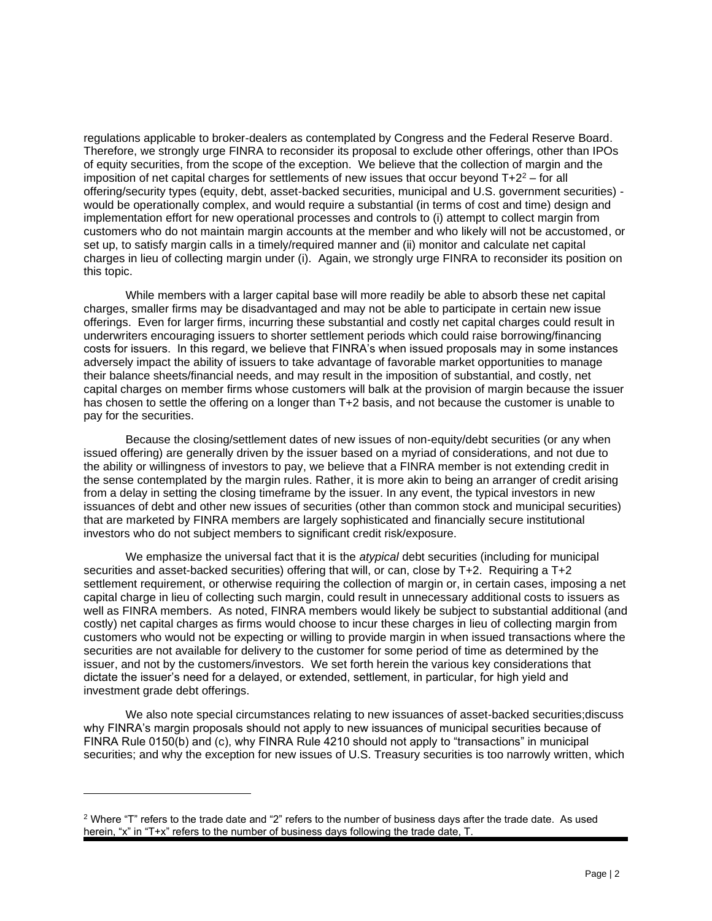regulations applicable to broker-dealers as contemplated by Congress and the Federal Reserve Board. Therefore, we strongly urge FINRA to reconsider its proposal to exclude other offerings, other than IPOs of equity securities, from the scope of the exception. We believe that the collection of margin and the imposition of net capital charges for settlements of new issues that occur beyond  $T+2^2$  – for all offering/security types (equity, debt, asset-backed securities, municipal and U.S. government securities) would be operationally complex, and would require a substantial (in terms of cost and time) design and implementation effort for new operational processes and controls to (i) attempt to collect margin from customers who do not maintain margin accounts at the member and who likely will not be accustomed, or set up, to satisfy margin calls in a timely/required manner and (ii) monitor and calculate net capital charges in lieu of collecting margin under (i). Again, we strongly urge FINRA to reconsider its position on this topic.

While members with a larger capital base will more readily be able to absorb these net capital charges, smaller firms may be disadvantaged and may not be able to participate in certain new issue offerings. Even for larger firms, incurring these substantial and costly net capital charges could result in underwriters encouraging issuers to shorter settlement periods which could raise borrowing/financing costs for issuers. In this regard, we believe that FINRA's when issued proposals may in some instances adversely impact the ability of issuers to take advantage of favorable market opportunities to manage their balance sheets/financial needs, and may result in the imposition of substantial, and costly, net capital charges on member firms whose customers will balk at the provision of margin because the issuer has chosen to settle the offering on a longer than T+2 basis, and not because the customer is unable to pay for the securities.

Because the closing/settlement dates of new issues of non-equity/debt securities (or any when issued offering) are generally driven by the issuer based on a myriad of considerations, and not due to the ability or willingness of investors to pay, we believe that a FINRA member is not extending credit in the sense contemplated by the margin rules. Rather, it is more akin to being an arranger of credit arising from a delay in setting the closing timeframe by the issuer. In any event, the typical investors in new issuances of debt and other new issues of securities (other than common stock and municipal securities) that are marketed by FINRA members are largely sophisticated and financially secure institutional investors who do not subject members to significant credit risk/exposure.

We emphasize the universal fact that it is the *atypical* debt securities (including for municipal securities and asset-backed securities) offering that will, or can, close by T+2. Requiring a T+2 settlement requirement, or otherwise requiring the collection of margin or, in certain cases, imposing a net capital charge in lieu of collecting such margin, could result in unnecessary additional costs to issuers as well as FINRA members. As noted, FINRA members would likely be subject to substantial additional (and costly) net capital charges as firms would choose to incur these charges in lieu of collecting margin from customers who would not be expecting or willing to provide margin in when issued transactions where the securities are not available for delivery to the customer for some period of time as determined by the issuer, and not by the customers/investors. We set forth herein the various key considerations that dictate the issuer's need for a delayed, or extended, settlement, in particular, for high yield and investment grade debt offerings.

We also note special circumstances relating to new issuances of asset-backed securities;discuss why FINRA's margin proposals should not apply to new issuances of municipal securities because of FINRA Rule 0150(b) and (c), why FINRA Rule 4210 should not apply to "transactions" in municipal securities; and why the exception for new issues of U.S. Treasury securities is too narrowly written, which

 $2$  Where "T" refers to the trade date and "2" refers to the number of business days after the trade date. As used herein, "x" in "T+x" refers to the number of business days following the trade date, T.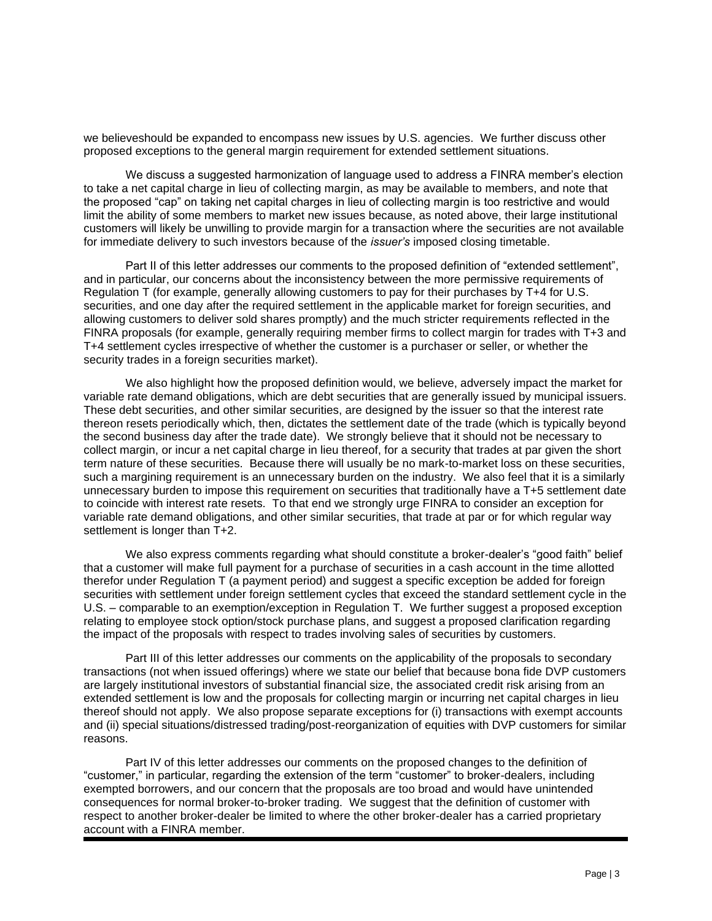we believeshould be expanded to encompass new issues by U.S. agencies. We further discuss other proposed exceptions to the general margin requirement for extended settlement situations.

We discuss a suggested harmonization of language used to address a FINRA member's election to take a net capital charge in lieu of collecting margin, as may be available to members, and note that the proposed "cap" on taking net capital charges in lieu of collecting margin is too restrictive and would limit the ability of some members to market new issues because, as noted above, their large institutional customers will likely be unwilling to provide margin for a transaction where the securities are not available for immediate delivery to such investors because of the *issuer's* imposed closing timetable.

Part II of this letter addresses our comments to the proposed definition of "extended settlement", and in particular, our concerns about the inconsistency between the more permissive requirements of Regulation T (for example, generally allowing customers to pay for their purchases by T+4 for U.S. securities, and one day after the required settlement in the applicable market for foreign securities, and allowing customers to deliver sold shares promptly) and the much stricter requirements reflected in the FINRA proposals (for example, generally requiring member firms to collect margin for trades with T+3 and T+4 settlement cycles irrespective of whether the customer is a purchaser or seller, or whether the security trades in a foreign securities market).

We also highlight how the proposed definition would, we believe, adversely impact the market for variable rate demand obligations, which are debt securities that are generally issued by municipal issuers. These debt securities, and other similar securities, are designed by the issuer so that the interest rate thereon resets periodically which, then, dictates the settlement date of the trade (which is typically beyond the second business day after the trade date). We strongly believe that it should not be necessary to collect margin, or incur a net capital charge in lieu thereof, for a security that trades at par given the short term nature of these securities. Because there will usually be no mark-to-market loss on these securities, such a margining requirement is an unnecessary burden on the industry. We also feel that it is a similarly unnecessary burden to impose this requirement on securities that traditionally have a T+5 settlement date to coincide with interest rate resets. To that end we strongly urge FINRA to consider an exception for variable rate demand obligations, and other similar securities, that trade at par or for which regular way settlement is longer than  $T+2$ .

We also express comments regarding what should constitute a broker-dealer's "good faith" belief that a customer will make full payment for a purchase of securities in a cash account in the time allotted therefor under Regulation T (a payment period) and suggest a specific exception be added for foreign securities with settlement under foreign settlement cycles that exceed the standard settlement cycle in the U.S. – comparable to an exemption/exception in Regulation T. We further suggest a proposed exception relating to employee stock option/stock purchase plans, and suggest a proposed clarification regarding the impact of the proposals with respect to trades involving sales of securities by customers.

Part III of this letter addresses our comments on the applicability of the proposals to secondary transactions (not when issued offerings) where we state our belief that because bona fide DVP customers are largely institutional investors of substantial financial size, the associated credit risk arising from an extended settlement is low and the proposals for collecting margin or incurring net capital charges in lieu thereof should not apply. We also propose separate exceptions for (i) transactions with exempt accounts and (ii) special situations/distressed trading/post-reorganization of equities with DVP customers for similar reasons.

Part IV of this letter addresses our comments on the proposed changes to the definition of "customer," in particular, regarding the extension of the term "customer" to broker-dealers, including exempted borrowers, and our concern that the proposals are too broad and would have unintended consequences for normal broker-to-broker trading. We suggest that the definition of customer with respect to another broker-dealer be limited to where the other broker-dealer has a carried proprietary account with a FINRA member.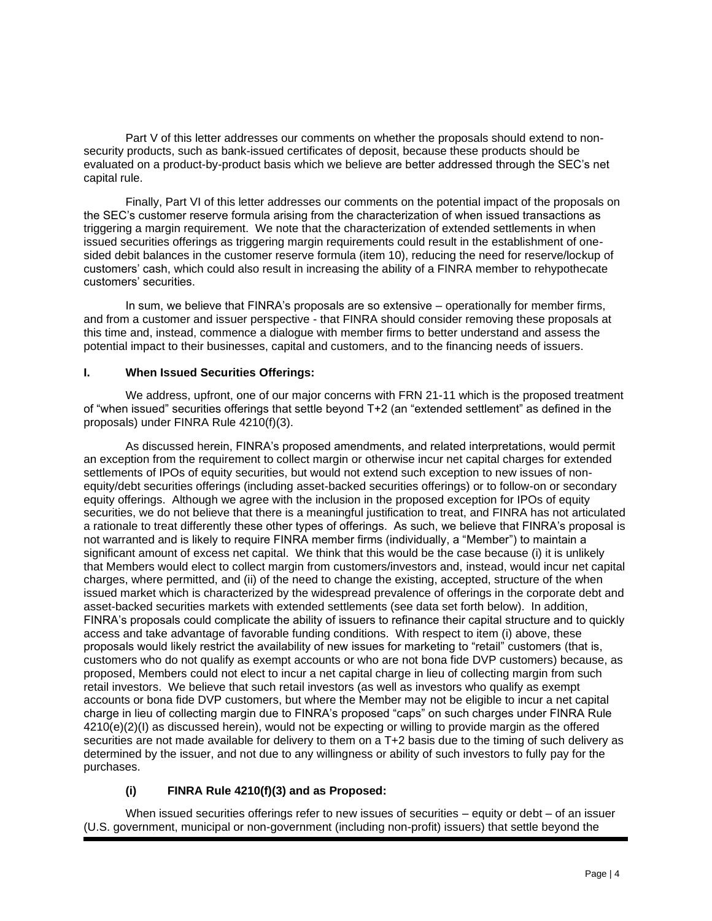Part V of this letter addresses our comments on whether the proposals should extend to nonsecurity products, such as bank-issued certificates of deposit, because these products should be evaluated on a product-by-product basis which we believe are better addressed through the SEC's net capital rule.

Finally, Part VI of this letter addresses our comments on the potential impact of the proposals on the SEC's customer reserve formula arising from the characterization of when issued transactions as triggering a margin requirement. We note that the characterization of extended settlements in when issued securities offerings as triggering margin requirements could result in the establishment of onesided debit balances in the customer reserve formula (item 10), reducing the need for reserve/lockup of customers' cash, which could also result in increasing the ability of a FINRA member to rehypothecate customers' securities.

In sum, we believe that FINRA's proposals are so extensive – operationally for member firms, and from a customer and issuer perspective - that FINRA should consider removing these proposals at this time and, instead, commence a dialogue with member firms to better understand and assess the potential impact to their businesses, capital and customers, and to the financing needs of issuers.

# **I. When Issued Securities Offerings:**

We address, upfront, one of our major concerns with FRN 21-11 which is the proposed treatment of "when issued" securities offerings that settle beyond T+2 (an "extended settlement" as defined in the proposals) under FINRA Rule 4210(f)(3).

As discussed herein, FINRA's proposed amendments, and related interpretations, would permit an exception from the requirement to collect margin or otherwise incur net capital charges for extended settlements of IPOs of equity securities, but would not extend such exception to new issues of nonequity/debt securities offerings (including asset-backed securities offerings) or to follow-on or secondary equity offerings. Although we agree with the inclusion in the proposed exception for IPOs of equity securities, we do not believe that there is a meaningful justification to treat, and FINRA has not articulated a rationale to treat differently these other types of offerings. As such, we believe that FINRA's proposal is not warranted and is likely to require FINRA member firms (individually, a "Member") to maintain a significant amount of excess net capital. We think that this would be the case because (i) it is unlikely that Members would elect to collect margin from customers/investors and, instead, would incur net capital charges, where permitted, and (ii) of the need to change the existing, accepted, structure of the when issued market which is characterized by the widespread prevalence of offerings in the corporate debt and asset-backed securities markets with extended settlements (see data set forth below). In addition, FINRA's proposals could complicate the ability of issuers to refinance their capital structure and to quickly access and take advantage of favorable funding conditions. With respect to item (i) above, these proposals would likely restrict the availability of new issues for marketing to "retail" customers (that is, customers who do not qualify as exempt accounts or who are not bona fide DVP customers) because, as proposed, Members could not elect to incur a net capital charge in lieu of collecting margin from such retail investors. We believe that such retail investors (as well as investors who qualify as exempt accounts or bona fide DVP customers, but where the Member may not be eligible to incur a net capital charge in lieu of collecting margin due to FINRA's proposed "caps" on such charges under FINRA Rule  $4210(e)(2)(1)$  as discussed herein), would not be expecting or willing to provide margin as the offered securities are not made available for delivery to them on a T+2 basis due to the timing of such delivery as determined by the issuer, and not due to any willingness or ability of such investors to fully pay for the purchases.

# **(i) FINRA Rule 4210(f)(3) and as Proposed:**

When issued securities offerings refer to new issues of securities – equity or debt – of an issuer (U.S. government, municipal or non-government (including non-profit) issuers) that settle beyond the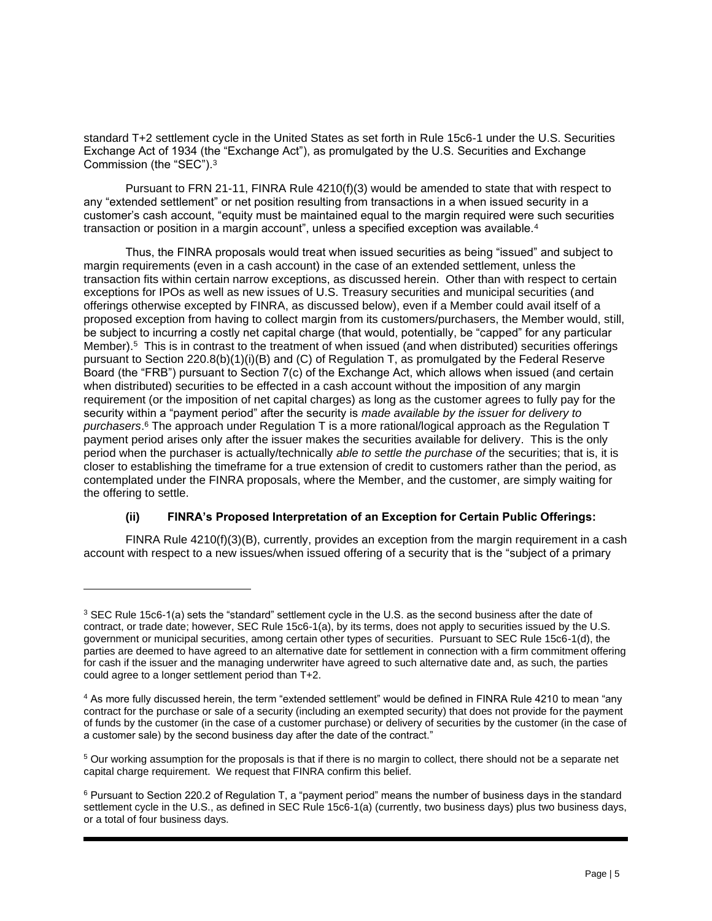standard T+2 settlement cycle in the United States as set forth in Rule 15c6-1 under the U.S. Securities Exchange Act of 1934 (the "Exchange Act"), as promulgated by the U.S. Securities and Exchange Commission (the "SEC").<sup>3</sup>

Pursuant to FRN 21-11, FINRA Rule 4210(f)(3) would be amended to state that with respect to any "extended settlement" or net position resulting from transactions in a when issued security in a customer's cash account, "equity must be maintained equal to the margin required were such securities transaction or position in a margin account", unless a specified exception was available. $^4$ 

Thus, the FINRA proposals would treat when issued securities as being "issued" and subject to margin requirements (even in a cash account) in the case of an extended settlement, unless the transaction fits within certain narrow exceptions, as discussed herein. Other than with respect to certain exceptions for IPOs as well as new issues of U.S. Treasury securities and municipal securities (and offerings otherwise excepted by FINRA, as discussed below), even if a Member could avail itself of a proposed exception from having to collect margin from its customers/purchasers, the Member would, still, be subject to incurring a costly net capital charge (that would, potentially, be "capped" for any particular Member).<sup>5</sup> This is in contrast to the treatment of when issued (and when distributed) securities offerings pursuant to Section 220.8(b)(1)(i)(B) and (C) of Regulation T, as promulgated by the Federal Reserve Board (the "FRB") pursuant to Section 7(c) of the Exchange Act, which allows when issued (and certain when distributed) securities to be effected in a cash account without the imposition of any margin requirement (or the imposition of net capital charges) as long as the customer agrees to fully pay for the security within a "payment period" after the security is *made available by the issuer for delivery to purchasers*. <sup>6</sup> The approach under Regulation T is a more rational/logical approach as the Regulation T payment period arises only after the issuer makes the securities available for delivery. This is the only period when the purchaser is actually/technically *able to settle the purchase of* the securities; that is, it is closer to establishing the timeframe for a true extension of credit to customers rather than the period, as contemplated under the FINRA proposals, where the Member, and the customer, are simply waiting for the offering to settle.

# **(ii) FINRA's Proposed Interpretation of an Exception for Certain Public Offerings:**

FINRA Rule 4210(f)(3)(B), currently, provides an exception from the margin requirement in a cash account with respect to a new issues/when issued offering of a security that is the "subject of a primary

<sup>&</sup>lt;sup>3</sup> SEC Rule 15c6-1(a) sets the "standard" settlement cycle in the U.S. as the second business after the date of contract, or trade date; however, SEC Rule 15c6-1(a), by its terms, does not apply to securities issued by the U.S. government or municipal securities, among certain other types of securities. Pursuant to SEC Rule 15c6-1(d), the parties are deemed to have agreed to an alternative date for settlement in connection with a firm commitment offering for cash if the issuer and the managing underwriter have agreed to such alternative date and, as such, the parties could agree to a longer settlement period than T+2.

<sup>4</sup> As more fully discussed herein, the term "extended settlement" would be defined in FINRA Rule 4210 to mean "any contract for the purchase or sale of a security (including an exempted security) that does not provide for the payment of funds by the customer (in the case of a customer purchase) or delivery of securities by the customer (in the case of a customer sale) by the second business day after the date of the contract."

<sup>5</sup> Our working assumption for the proposals is that if there is no margin to collect, there should not be a separate net capital charge requirement. We request that FINRA confirm this belief.

<sup>6</sup> Pursuant to Section 220.2 of Regulation T, a "payment period" means the number of business days in the standard settlement cycle in the U.S., as defined in SEC Rule 15c6-1(a) (currently, two business days) plus two business days, or a total of four business days.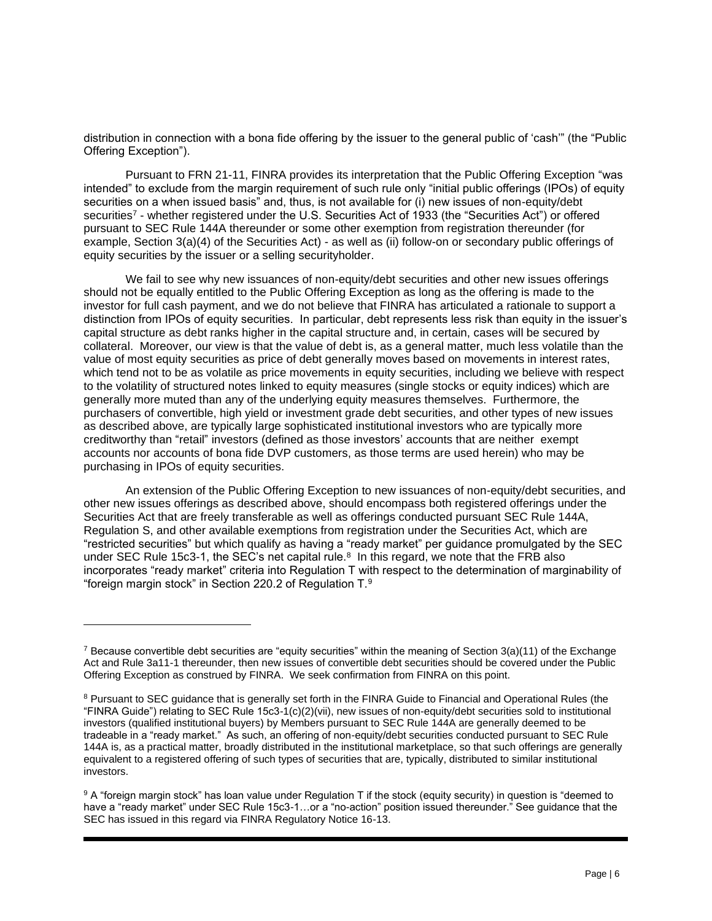distribution in connection with a bona fide offering by the issuer to the general public of 'cash'" (the "Public Offering Exception").

Pursuant to FRN 21-11, FINRA provides its interpretation that the Public Offering Exception "was intended" to exclude from the margin requirement of such rule only "initial public offerings (IPOs) of equity securities on a when issued basis" and, thus, is not available for (i) new issues of non-equity/debt securities<sup>7</sup> - whether registered under the U.S. Securities Act of 1933 (the "Securities Act") or offered pursuant to SEC Rule 144A thereunder or some other exemption from registration thereunder (for example, Section 3(a)(4) of the Securities Act) - as well as (ii) follow-on or secondary public offerings of equity securities by the issuer or a selling securityholder.

We fail to see why new issuances of non-equity/debt securities and other new issues offerings should not be equally entitled to the Public Offering Exception as long as the offering is made to the investor for full cash payment, and we do not believe that FINRA has articulated a rationale to support a distinction from IPOs of equity securities. In particular, debt represents less risk than equity in the issuer's capital structure as debt ranks higher in the capital structure and, in certain, cases will be secured by collateral. Moreover, our view is that the value of debt is, as a general matter, much less volatile than the value of most equity securities as price of debt generally moves based on movements in interest rates, which tend not to be as volatile as price movements in equity securities, including we believe with respect to the volatility of structured notes linked to equity measures (single stocks or equity indices) which are generally more muted than any of the underlying equity measures themselves. Furthermore, the purchasers of convertible, high yield or investment grade debt securities, and other types of new issues as described above, are typically large sophisticated institutional investors who are typically more creditworthy than "retail" investors (defined as those investors' accounts that are neither exempt accounts nor accounts of bona fide DVP customers, as those terms are used herein) who may be purchasing in IPOs of equity securities.

An extension of the Public Offering Exception to new issuances of non-equity/debt securities, and other new issues offerings as described above, should encompass both registered offerings under the Securities Act that are freely transferable as well as offerings conducted pursuant SEC Rule 144A, Regulation S, and other available exemptions from registration under the Securities Act, which are "restricted securities" but which qualify as having a "ready market" per guidance promulgated by the SEC under SEC Rule 15c3-1, the SEC's net capital rule.<sup>8</sup> In this regard, we note that the FRB also incorporates "ready market" criteria into Regulation T with respect to the determination of marginability of "foreign margin stock" in Section 220.2 of Regulation T. $9$ 

<sup>&</sup>lt;sup>7</sup> Because convertible debt securities are "equity securities" within the meaning of Section 3(a)(11) of the Exchange Act and Rule 3a11-1 thereunder, then new issues of convertible debt securities should be covered under the Public Offering Exception as construed by FINRA. We seek confirmation from FINRA on this point.

<sup>&</sup>lt;sup>8</sup> Pursuant to SEC guidance that is generally set forth in the FINRA Guide to Financial and Operational Rules (the "FINRA Guide") relating to SEC Rule 15c3-1(c)(2)(vii), new issues of non-equity/debt securities sold to institutional investors (qualified institutional buyers) by Members pursuant to SEC Rule 144A are generally deemed to be tradeable in a "ready market." As such, an offering of non-equity/debt securities conducted pursuant to SEC Rule 144A is, as a practical matter, broadly distributed in the institutional marketplace, so that such offerings are generally equivalent to a registered offering of such types of securities that are, typically, distributed to similar institutional investors.

<sup>9</sup> A "foreign margin stock" has loan value under Regulation T if the stock (equity security) in question is "deemed to have a "ready market" under SEC Rule 15c3-1…or a "no-action" position issued thereunder." See guidance that the SEC has issued in this regard via FINRA Regulatory Notice 16-13.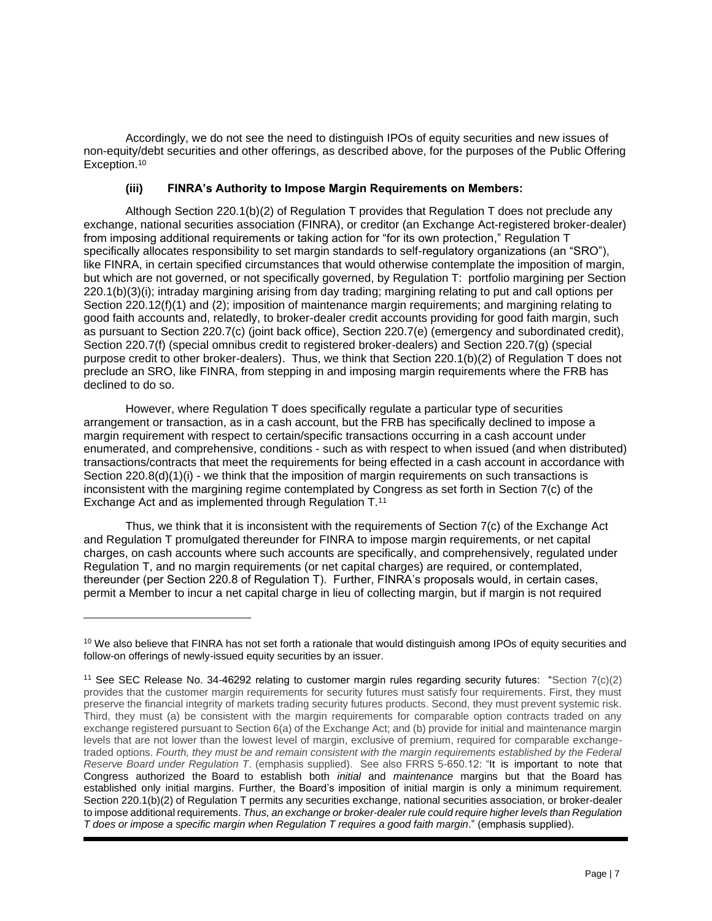Accordingly, we do not see the need to distinguish IPOs of equity securities and new issues of non-equity/debt securities and other offerings, as described above, for the purposes of the Public Offering Exception.<sup>10</sup>

# **(iii) FINRA's Authority to Impose Margin Requirements on Members:**

Although Section 220.1(b)(2) of Regulation T provides that Regulation T does not preclude any exchange, national securities association (FINRA), or creditor (an Exchange Act-registered broker-dealer) from imposing additional requirements or taking action for "for its own protection," Regulation T specifically allocates responsibility to set margin standards to self-regulatory organizations (an "SRO"), like FINRA, in certain specified circumstances that would otherwise contemplate the imposition of margin, but which are not governed, or not specifically governed, by Regulation T: portfolio margining per Section 220.1(b)(3)(i); intraday margining arising from day trading; margining relating to put and call options per Section 220.12(f)(1) and (2); imposition of maintenance margin requirements; and margining relating to good faith accounts and, relatedly, to broker-dealer credit accounts providing for good faith margin, such as pursuant to Section 220.7(c) (joint back office), Section 220.7(e) (emergency and subordinated credit), Section 220.7(f) (special omnibus credit to registered broker-dealers) and Section 220.7(g) (special purpose credit to other broker-dealers). Thus, we think that Section 220.1(b)(2) of Regulation T does not preclude an SRO, like FINRA, from stepping in and imposing margin requirements where the FRB has declined to do so.

However, where Regulation T does specifically regulate a particular type of securities arrangement or transaction, as in a cash account, but the FRB has specifically declined to impose a margin requirement with respect to certain/specific transactions occurring in a cash account under enumerated, and comprehensive, conditions - such as with respect to when issued (and when distributed) transactions/contracts that meet the requirements for being effected in a cash account in accordance with Section 220.8(d)(1)(i) - we think that the imposition of margin requirements on such transactions is inconsistent with the margining regime contemplated by Congress as set forth in Section 7(c) of the Exchange Act and as implemented through Regulation T.<sup>11</sup>

Thus, we think that it is inconsistent with the requirements of Section 7(c) of the Exchange Act and Regulation T promulgated thereunder for FINRA to impose margin requirements, or net capital charges, on cash accounts where such accounts are specifically, and comprehensively, regulated under Regulation T, and no margin requirements (or net capital charges) are required, or contemplated, thereunder (per Section 220.8 of Regulation T). Further, FINRA's proposals would, in certain cases, permit a Member to incur a net capital charge in lieu of collecting margin, but if margin is not required

 $10$  We also believe that FINRA has not set forth a rationale that would distinguish among IPOs of equity securities and follow-on offerings of newly-issued equity securities by an issuer.

<sup>&</sup>lt;sup>11</sup> See SEC Release No. 34-46292 relating to customer margin rules regarding security futures: "Section  $7(c)(2)$ provides that the customer margin requirements for security futures must satisfy four requirements. First, they must preserve the financial integrity of markets trading security futures products. Second, they must prevent systemic risk. Third, they must (a) be consistent with the margin requirements for comparable option contracts traded on any exchange registered pursuant to Section 6(a) of the Exchange Act; and (b) provide for initial and maintenance margin levels that are not lower than the lowest level of margin, exclusive of premium, required for comparable exchangetraded options. *Fourth, they must be and remain consistent with the margin requirements established by the Federal Reserve Board under Regulation T*. (emphasis supplied). See also FRRS 5-650.12: "It is important to note that Congress authorized the Board to establish both *initial* and *maintenance* margins but that the Board has established only initial margins. Further, the Board's imposition of initial margin is only a minimum requirement. Section 220.1(b)(2) of Regulation T permits any securities exchange, national securities association, or broker-dealer to impose additional requirements. *Thus, an exchange or broker-dealer rule could require higher levels than Regulation T does or impose a specific margin when Regulation T requires a good faith margin*." (emphasis supplied).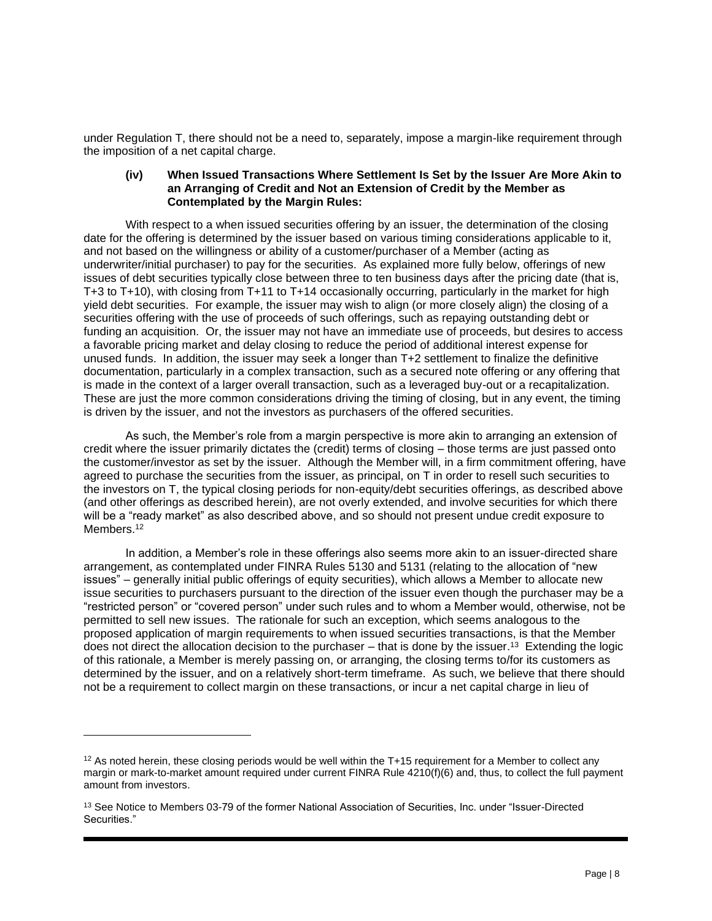under Regulation T, there should not be a need to, separately, impose a margin-like requirement through the imposition of a net capital charge.

#### **(iv) When Issued Transactions Where Settlement Is Set by the Issuer Are More Akin to an Arranging of Credit and Not an Extension of Credit by the Member as Contemplated by the Margin Rules:**

With respect to a when issued securities offering by an issuer, the determination of the closing date for the offering is determined by the issuer based on various timing considerations applicable to it, and not based on the willingness or ability of a customer/purchaser of a Member (acting as underwriter/initial purchaser) to pay for the securities. As explained more fully below, offerings of new issues of debt securities typically close between three to ten business days after the pricing date (that is, T+3 to T+10), with closing from T+11 to T+14 occasionally occurring, particularly in the market for high yield debt securities. For example, the issuer may wish to align (or more closely align) the closing of a securities offering with the use of proceeds of such offerings, such as repaying outstanding debt or funding an acquisition. Or, the issuer may not have an immediate use of proceeds, but desires to access a favorable pricing market and delay closing to reduce the period of additional interest expense for unused funds. In addition, the issuer may seek a longer than T+2 settlement to finalize the definitive documentation, particularly in a complex transaction, such as a secured note offering or any offering that is made in the context of a larger overall transaction, such as a leveraged buy-out or a recapitalization. These are just the more common considerations driving the timing of closing, but in any event, the timing is driven by the issuer, and not the investors as purchasers of the offered securities.

As such, the Member's role from a margin perspective is more akin to arranging an extension of credit where the issuer primarily dictates the (credit) terms of closing – those terms are just passed onto the customer/investor as set by the issuer. Although the Member will, in a firm commitment offering, have agreed to purchase the securities from the issuer, as principal, on T in order to resell such securities to the investors on T, the typical closing periods for non-equity/debt securities offerings, as described above (and other offerings as described herein), are not overly extended, and involve securities for which there will be a "ready market" as also described above, and so should not present undue credit exposure to Members.<sup>12</sup>

In addition, a Member's role in these offerings also seems more akin to an issuer-directed share arrangement, as contemplated under FINRA Rules 5130 and 5131 (relating to the allocation of "new issues" – generally initial public offerings of equity securities), which allows a Member to allocate new issue securities to purchasers pursuant to the direction of the issuer even though the purchaser may be a "restricted person" or "covered person" under such rules and to whom a Member would, otherwise, not be permitted to sell new issues. The rationale for such an exception, which seems analogous to the proposed application of margin requirements to when issued securities transactions, is that the Member does not direct the allocation decision to the purchaser – that is done by the issuer.<sup>13</sup> Extending the logic of this rationale, a Member is merely passing on, or arranging, the closing terms to/for its customers as determined by the issuer, and on a relatively short-term timeframe. As such, we believe that there should not be a requirement to collect margin on these transactions, or incur a net capital charge in lieu of

 $12$  As noted herein, these closing periods would be well within the T+15 requirement for a Member to collect any margin or mark-to-market amount required under current FINRA Rule 4210(f)(6) and, thus, to collect the full payment amount from investors.

<sup>&</sup>lt;sup>13</sup> See Notice to Members 03-79 of the former National Association of Securities, Inc. under "Issuer-Directed Securities."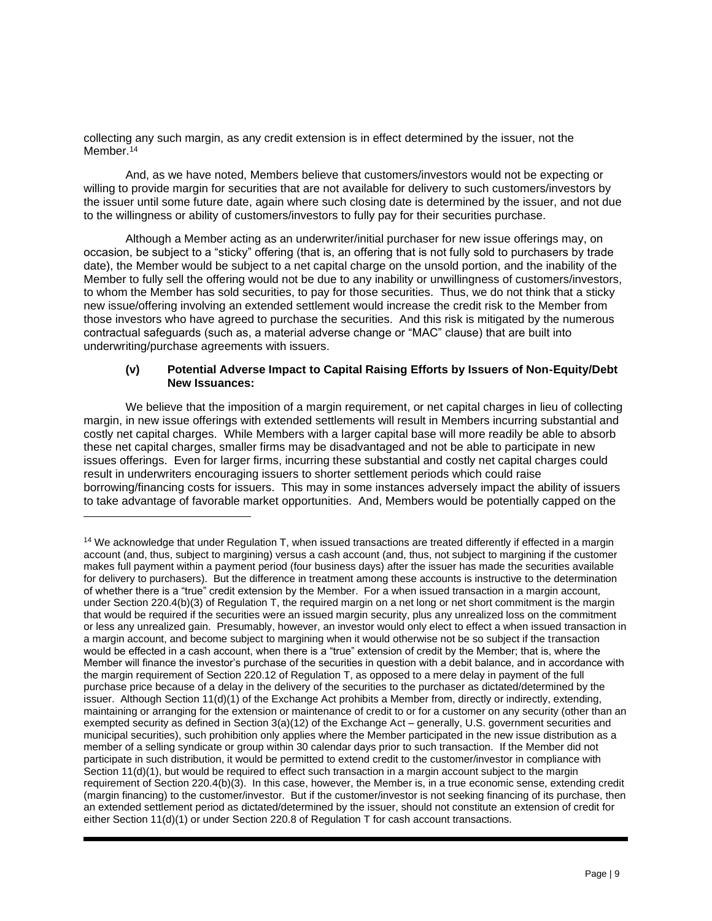collecting any such margin, as any credit extension is in effect determined by the issuer, not the Member.<sup>14</sup>

And, as we have noted, Members believe that customers/investors would not be expecting or willing to provide margin for securities that are not available for delivery to such customers/investors by the issuer until some future date, again where such closing date is determined by the issuer, and not due to the willingness or ability of customers/investors to fully pay for their securities purchase.

Although a Member acting as an underwriter/initial purchaser for new issue offerings may, on occasion, be subject to a "sticky" offering (that is, an offering that is not fully sold to purchasers by trade date), the Member would be subject to a net capital charge on the unsold portion, and the inability of the Member to fully sell the offering would not be due to any inability or unwillingness of customers/investors, to whom the Member has sold securities, to pay for those securities. Thus, we do not think that a sticky new issue/offering involving an extended settlement would increase the credit risk to the Member from those investors who have agreed to purchase the securities. And this risk is mitigated by the numerous contractual safeguards (such as, a material adverse change or "MAC" clause) that are built into underwriting/purchase agreements with issuers.

## **(v) Potential Adverse Impact to Capital Raising Efforts by Issuers of Non-Equity/Debt New Issuances:**

We believe that the imposition of a margin requirement, or net capital charges in lieu of collecting margin, in new issue offerings with extended settlements will result in Members incurring substantial and costly net capital charges. While Members with a larger capital base will more readily be able to absorb these net capital charges, smaller firms may be disadvantaged and not be able to participate in new issues offerings. Even for larger firms, incurring these substantial and costly net capital charges could result in underwriters encouraging issuers to shorter settlement periods which could raise borrowing/financing costs for issuers. This may in some instances adversely impact the ability of issuers to take advantage of favorable market opportunities. And, Members would be potentially capped on the

<sup>&</sup>lt;sup>14</sup> We acknowledge that under Regulation T, when issued transactions are treated differently if effected in a margin account (and, thus, subject to margining) versus a cash account (and, thus, not subject to margining if the customer makes full payment within a payment period (four business days) after the issuer has made the securities available for delivery to purchasers). But the difference in treatment among these accounts is instructive to the determination of whether there is a "true" credit extension by the Member. For a when issued transaction in a margin account, under Section 220.4(b)(3) of Regulation T, the required margin on a net long or net short commitment is the margin that would be required if the securities were an issued margin security, plus any unrealized loss on the commitment or less any unrealized gain. Presumably, however, an investor would only elect to effect a when issued transaction in a margin account, and become subject to margining when it would otherwise not be so subject if the transaction would be effected in a cash account, when there is a "true" extension of credit by the Member; that is, where the Member will finance the investor's purchase of the securities in question with a debit balance, and in accordance with the margin requirement of Section 220.12 of Regulation T, as opposed to a mere delay in payment of the full purchase price because of a delay in the delivery of the securities to the purchaser as dictated/determined by the issuer. Although Section 11(d)(1) of the Exchange Act prohibits a Member from, directly or indirectly, extending, maintaining or arranging for the extension or maintenance of credit to or for a customer on any security (other than an exempted security as defined in Section 3(a)(12) of the Exchange Act – generally, U.S. government securities and municipal securities), such prohibition only applies where the Member participated in the new issue distribution as a member of a selling syndicate or group within 30 calendar days prior to such transaction. If the Member did not participate in such distribution, it would be permitted to extend credit to the customer/investor in compliance with Section 11(d)(1), but would be required to effect such transaction in a margin account subject to the margin requirement of Section 220.4(b)(3). In this case, however, the Member is, in a true economic sense, extending credit (margin financing) to the customer/investor. But if the customer/investor is not seeking financing of its purchase, then an extended settlement period as dictated/determined by the issuer, should not constitute an extension of credit for either Section 11(d)(1) or under Section 220.8 of Regulation T for cash account transactions.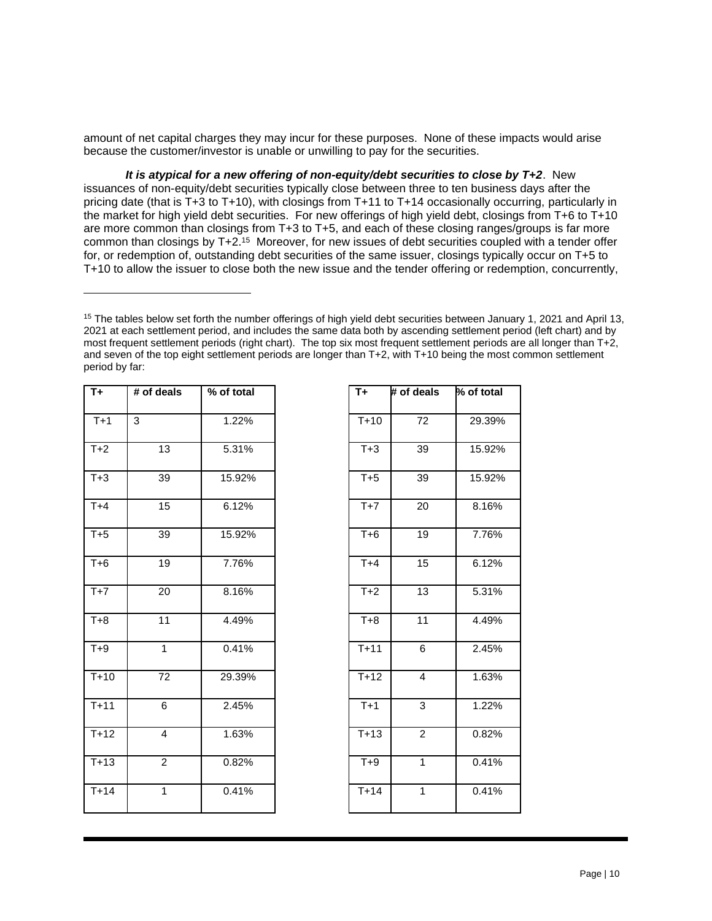amount of net capital charges they may incur for these purposes. None of these impacts would arise because the customer/investor is unable or unwilling to pay for the securities.

*It is atypical for a new offering of non-equity/debt securities to close by T+2*. New issuances of non-equity/debt securities typically close between three to ten business days after the pricing date (that is T+3 to T+10), with closings from T+11 to T+14 occasionally occurring, particularly in the market for high yield debt securities. For new offerings of high yield debt, closings from T+6 to T+10 are more common than closings from T+3 to T+5, and each of these closing ranges/groups is far more common than closings by  $T+2.15$  Moreover, for new issues of debt securities coupled with a tender offer for, or redemption of, outstanding debt securities of the same issuer, closings typically occur on T+5 to T+10 to allow the issuer to close both the new issue and the tender offering or redemption, concurrently,

<sup>&</sup>lt;sup>15</sup> The tables below set forth the number offerings of high yield debt securities between January 1, 2021 and April 13, 2021 at each settlement period, and includes the same data both by ascending settlement period (left chart) and by most frequent settlement periods (right chart). The top six most frequent settlement periods are all longer than T+2, and seven of the top eight settlement periods are longer than T+2, with T+10 being the most common settlement period by far:

| $T_{+}$ | # of deals      | % of total | $T +$  | $#$ of deals    | % of total |
|---------|-----------------|------------|--------|-----------------|------------|
| $T+1$   | $\overline{3}$  | 1.22%      | $T+10$ | $\overline{72}$ | 29.39%     |
| $T+2$   | 13              | 5.31%      | $T+3$  | 39              | 15.92%     |
| $T+3$   | 39              | 15.92%     | $T+5$  | 39              | 15.92%     |
| $T+4$   | 15              | 6.12%      | $T+7$  | 20              | 8.16%      |
| $T+5$   | 39              | 15.92%     | $T+6$  | 19              | 7.76%      |
| $T+6$   | 19              | 7.76%      | $T+4$  | 15              | 6.12%      |
| $T+7$   | 20              | 8.16%      | $T+2$  | 13              | 5.31%      |
| $T+8$   | 11              | 4.49%      | $T+8$  | 11              | 4.49%      |
| $T+9$   | $\mathbf{1}$    | 0.41%      | $T+11$ | 6               | 2.45%      |
| $T+10$  | $\overline{72}$ | 29.39%     | $T+12$ | $\overline{4}$  | 1.63%      |
| $T+11$  | 6               | 2.45%      | $T+1$  | 3               | 1.22%      |
| $T+12$  | 4               | 1.63%      | $T+13$ | $\overline{2}$  | 0.82%      |
| $T+13$  | $\overline{c}$  | 0.82%      | $T+9$  | $\mathbf{1}$    | 0.41%      |
| $T+14$  | $\overline{1}$  | 0.41%      | $T+14$ | $\mathbf{1}$    | 0.41%      |

| T+                | # of deals      | % of total |  |
|-------------------|-----------------|------------|--|
| $T+10$            | $\overline{72}$ | 29.39%     |  |
| $T+3$             | 39              | 15.92%     |  |
| $T+5$             | 39              | 15.92%     |  |
| $T+7$             | 20              | 8.16%      |  |
| $T + 6$           | 19              | 7.76%      |  |
| $T+4$             | 15              | 6.12%      |  |
| $\overline{1}+2$  | $\overline{13}$ | 5.31%      |  |
| $T+8$             | $\overline{11}$ | 4.49%      |  |
| $\overline{T+11}$ | 6               | 2.45%      |  |
| $\overline{T+12}$ | $\overline{4}$  | 1.63%      |  |
| $T+1$             | 3               | 1.22%      |  |
| $\overline{T+13}$ | $\overline{2}$  | 0.82%      |  |
| $T+9$             | 1               | 0.41%      |  |
| $T+14$            | 1               | 0.41%      |  |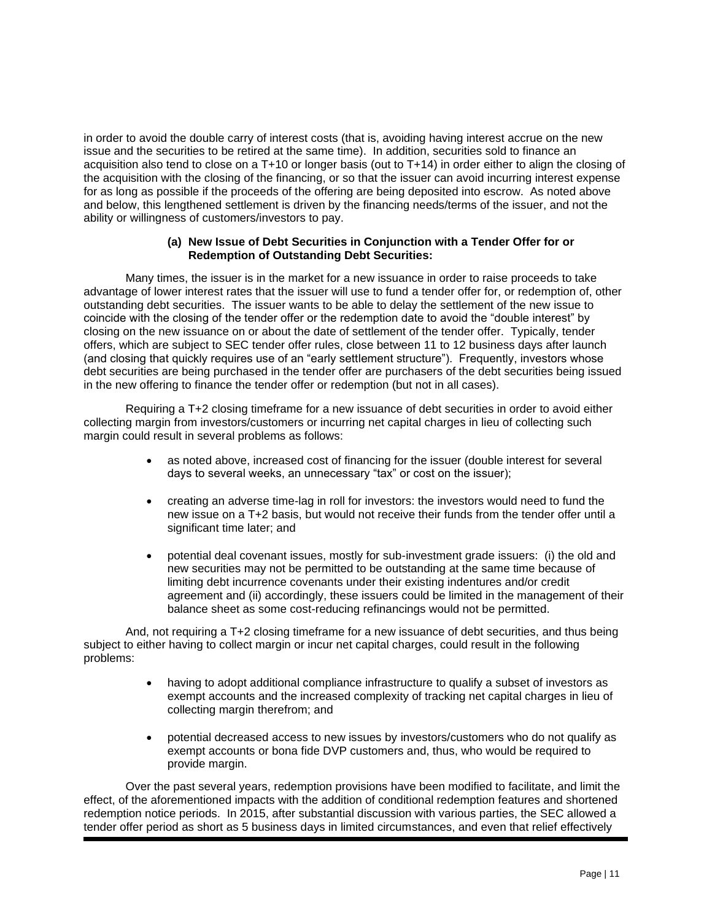in order to avoid the double carry of interest costs (that is, avoiding having interest accrue on the new issue and the securities to be retired at the same time). In addition, securities sold to finance an acquisition also tend to close on a T+10 or longer basis (out to T+14) in order either to align the closing of the acquisition with the closing of the financing, or so that the issuer can avoid incurring interest expense for as long as possible if the proceeds of the offering are being deposited into escrow. As noted above and below, this lengthened settlement is driven by the financing needs/terms of the issuer, and not the ability or willingness of customers/investors to pay.

#### **(a) New Issue of Debt Securities in Conjunction with a Tender Offer for or Redemption of Outstanding Debt Securities:**

Many times, the issuer is in the market for a new issuance in order to raise proceeds to take advantage of lower interest rates that the issuer will use to fund a tender offer for, or redemption of, other outstanding debt securities. The issuer wants to be able to delay the settlement of the new issue to coincide with the closing of the tender offer or the redemption date to avoid the "double interest" by closing on the new issuance on or about the date of settlement of the tender offer. Typically, tender offers, which are subject to SEC tender offer rules, close between 11 to 12 business days after launch (and closing that quickly requires use of an "early settlement structure"). Frequently, investors whose debt securities are being purchased in the tender offer are purchasers of the debt securities being issued in the new offering to finance the tender offer or redemption (but not in all cases).

Requiring a T+2 closing timeframe for a new issuance of debt securities in order to avoid either collecting margin from investors/customers or incurring net capital charges in lieu of collecting such margin could result in several problems as follows:

- as noted above, increased cost of financing for the issuer (double interest for several days to several weeks, an unnecessary "tax" or cost on the issuer);
- creating an adverse time-lag in roll for investors: the investors would need to fund the new issue on a T+2 basis, but would not receive their funds from the tender offer until a significant time later; and
- potential deal covenant issues, mostly for sub-investment grade issuers: (i) the old and new securities may not be permitted to be outstanding at the same time because of limiting debt incurrence covenants under their existing indentures and/or credit agreement and (ii) accordingly, these issuers could be limited in the management of their balance sheet as some cost-reducing refinancings would not be permitted.

And, not requiring a T+2 closing timeframe for a new issuance of debt securities, and thus being subject to either having to collect margin or incur net capital charges, could result in the following problems:

- having to adopt additional compliance infrastructure to qualify a subset of investors as exempt accounts and the increased complexity of tracking net capital charges in lieu of collecting margin therefrom; and
- potential decreased access to new issues by investors/customers who do not qualify as exempt accounts or bona fide DVP customers and, thus, who would be required to provide margin.

Over the past several years, redemption provisions have been modified to facilitate, and limit the effect, of the aforementioned impacts with the addition of conditional redemption features and shortened redemption notice periods. In 2015, after substantial discussion with various parties, the SEC allowed a tender offer period as short as 5 business days in limited circumstances, and even that relief effectively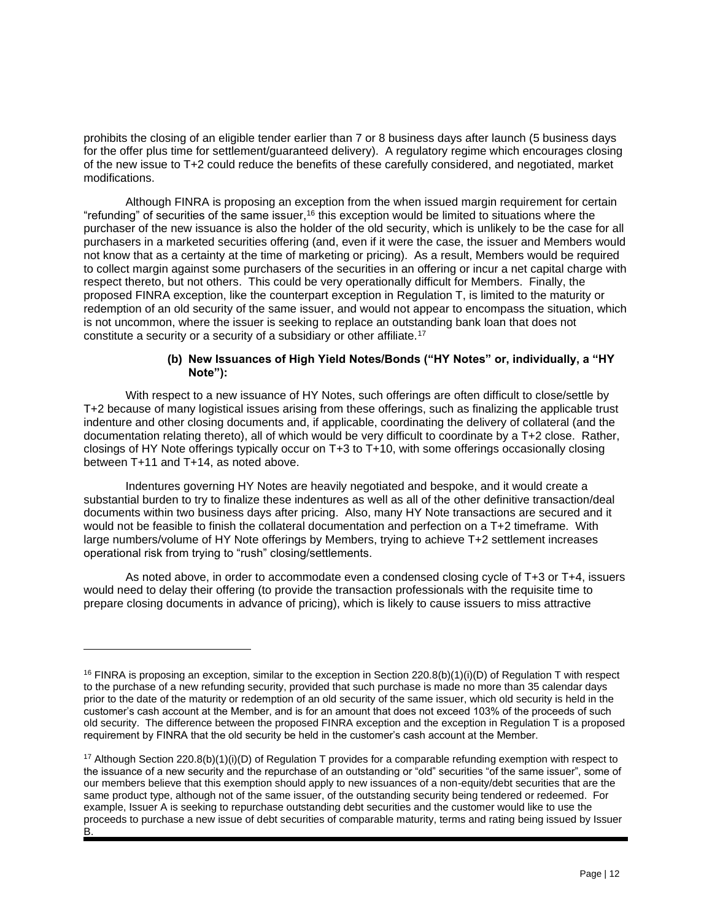prohibits the closing of an eligible tender earlier than 7 or 8 business days after launch (5 business days for the offer plus time for settlement/guaranteed delivery). A regulatory regime which encourages closing of the new issue to T+2 could reduce the benefits of these carefully considered, and negotiated, market modifications.

Although FINRA is proposing an exception from the when issued margin requirement for certain "refunding" of securities of the same issuer,<sup>16</sup> this exception would be limited to situations where the purchaser of the new issuance is also the holder of the old security, which is unlikely to be the case for all purchasers in a marketed securities offering (and, even if it were the case, the issuer and Members would not know that as a certainty at the time of marketing or pricing). As a result, Members would be required to collect margin against some purchasers of the securities in an offering or incur a net capital charge with respect thereto, but not others. This could be very operationally difficult for Members. Finally, the proposed FINRA exception, like the counterpart exception in Regulation T, is limited to the maturity or redemption of an old security of the same issuer, and would not appear to encompass the situation, which is not uncommon, where the issuer is seeking to replace an outstanding bank loan that does not constitute a security or a security of a subsidiary or other affiliate.<sup>17</sup>

## **(b) New Issuances of High Yield Notes/Bonds ("HY Notes" or, individually, a "HY Note"):**

With respect to a new issuance of HY Notes, such offerings are often difficult to close/settle by T+2 because of many logistical issues arising from these offerings, such as finalizing the applicable trust indenture and other closing documents and, if applicable, coordinating the delivery of collateral (and the documentation relating thereto), all of which would be very difficult to coordinate by a T+2 close. Rather, closings of HY Note offerings typically occur on T+3 to T+10, with some offerings occasionally closing between T+11 and T+14, as noted above.

Indentures governing HY Notes are heavily negotiated and bespoke, and it would create a substantial burden to try to finalize these indentures as well as all of the other definitive transaction/deal documents within two business days after pricing. Also, many HY Note transactions are secured and it would not be feasible to finish the collateral documentation and perfection on a T+2 timeframe. With large numbers/volume of HY Note offerings by Members, trying to achieve T+2 settlement increases operational risk from trying to "rush" closing/settlements.

As noted above, in order to accommodate even a condensed closing cycle of T+3 or T+4, issuers would need to delay their offering (to provide the transaction professionals with the requisite time to prepare closing documents in advance of pricing), which is likely to cause issuers to miss attractive

<sup>&</sup>lt;sup>16</sup> FINRA is proposing an exception, similar to the exception in Section 220.8(b)(1)(i)(D) of Regulation T with respect to the purchase of a new refunding security, provided that such purchase is made no more than 35 calendar days prior to the date of the maturity or redemption of an old security of the same issuer, which old security is held in the customer's cash account at the Member, and is for an amount that does not exceed 103% of the proceeds of such old security. The difference between the proposed FINRA exception and the exception in Regulation T is a proposed requirement by FINRA that the old security be held in the customer's cash account at the Member.

<sup>&</sup>lt;sup>17</sup> Although Section 220.8(b)(1)(i)(D) of Regulation T provides for a comparable refunding exemption with respect to the issuance of a new security and the repurchase of an outstanding or "old" securities "of the same issuer", some of our members believe that this exemption should apply to new issuances of a non-equity/debt securities that are the same product type, although not of the same issuer, of the outstanding security being tendered or redeemed. For example, Issuer A is seeking to repurchase outstanding debt securities and the customer would like to use the proceeds to purchase a new issue of debt securities of comparable maturity, terms and rating being issued by Issuer B.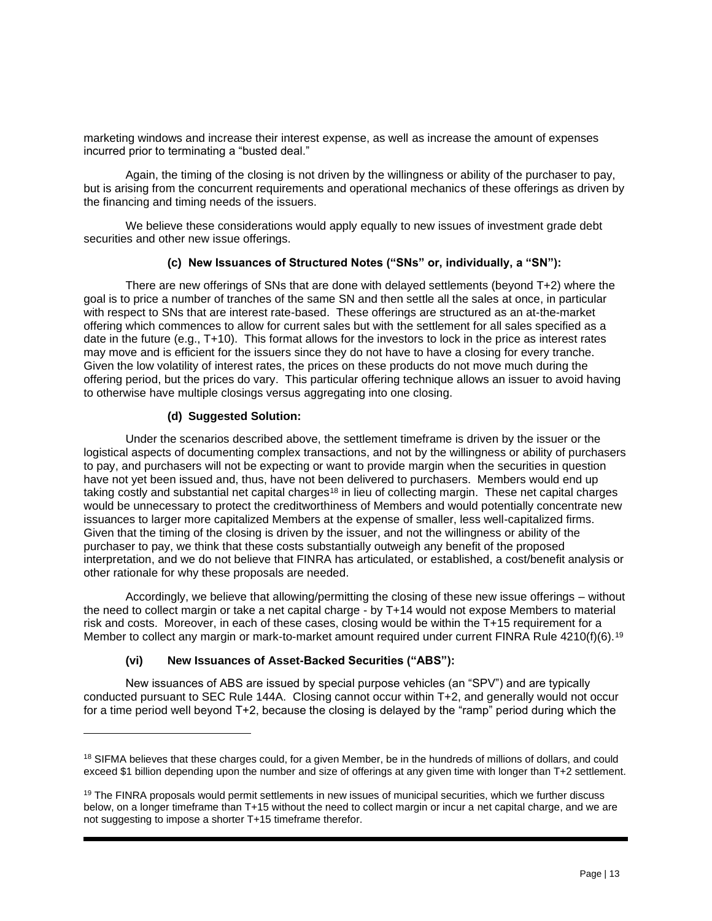marketing windows and increase their interest expense, as well as increase the amount of expenses incurred prior to terminating a "busted deal."

Again, the timing of the closing is not driven by the willingness or ability of the purchaser to pay, but is arising from the concurrent requirements and operational mechanics of these offerings as driven by the financing and timing needs of the issuers.

We believe these considerations would apply equally to new issues of investment grade debt securities and other new issue offerings.

# **(c) New Issuances of Structured Notes ("SNs" or, individually, a "SN"):**

There are new offerings of SNs that are done with delayed settlements (beyond T+2) where the goal is to price a number of tranches of the same SN and then settle all the sales at once, in particular with respect to SNs that are interest rate-based. These offerings are structured as an at-the-market offering which commences to allow for current sales but with the settlement for all sales specified as a date in the future (e.g., T+10). This format allows for the investors to lock in the price as interest rates may move and is efficient for the issuers since they do not have to have a closing for every tranche. Given the low volatility of interest rates, the prices on these products do not move much during the offering period, but the prices do vary. This particular offering technique allows an issuer to avoid having to otherwise have multiple closings versus aggregating into one closing.

# **(d) Suggested Solution:**

Under the scenarios described above, the settlement timeframe is driven by the issuer or the logistical aspects of documenting complex transactions, and not by the willingness or ability of purchasers to pay, and purchasers will not be expecting or want to provide margin when the securities in question have not yet been issued and, thus, have not been delivered to purchasers. Members would end up taking costly and substantial net capital charges<sup>18</sup> in lieu of collecting margin. These net capital charges would be unnecessary to protect the creditworthiness of Members and would potentially concentrate new issuances to larger more capitalized Members at the expense of smaller, less well-capitalized firms. Given that the timing of the closing is driven by the issuer, and not the willingness or ability of the purchaser to pay, we think that these costs substantially outweigh any benefit of the proposed interpretation, and we do not believe that FINRA has articulated, or established, a cost/benefit analysis or other rationale for why these proposals are needed.

Accordingly, we believe that allowing/permitting the closing of these new issue offerings – without the need to collect margin or take a net capital charge - by T+14 would not expose Members to material risk and costs. Moreover, in each of these cases, closing would be within the T+15 requirement for a Member to collect any margin or mark-to-market amount required under current FINRA Rule 4210(f)(6).<sup>19</sup>

#### **(vi) New Issuances of Asset-Backed Securities ("ABS"):**

New issuances of ABS are issued by special purpose vehicles (an "SPV") and are typically conducted pursuant to SEC Rule 144A. Closing cannot occur within T+2, and generally would not occur for a time period well beyond T+2, because the closing is delayed by the "ramp" period during which the

<sup>&</sup>lt;sup>18</sup> SIFMA believes that these charges could, for a given Member, be in the hundreds of millions of dollars, and could exceed \$1 billion depending upon the number and size of offerings at any given time with longer than T+2 settlement.

<sup>&</sup>lt;sup>19</sup> The FINRA proposals would permit settlements in new issues of municipal securities, which we further discuss below, on a longer timeframe than T+15 without the need to collect margin or incur a net capital charge, and we are not suggesting to impose a shorter T+15 timeframe therefor.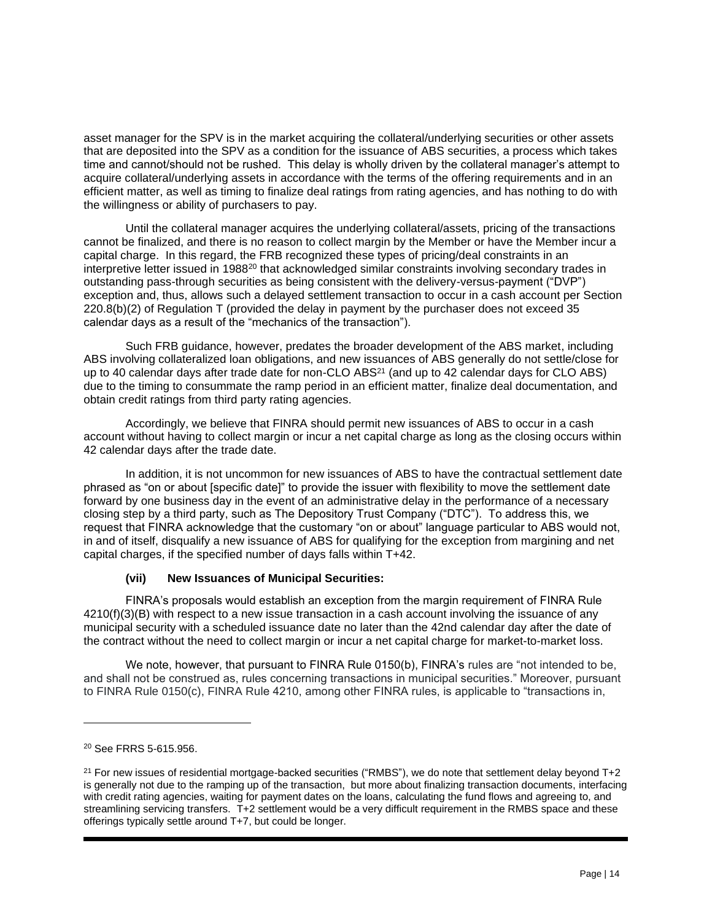asset manager for the SPV is in the market acquiring the collateral/underlying securities or other assets that are deposited into the SPV as a condition for the issuance of ABS securities, a process which takes time and cannot/should not be rushed. This delay is wholly driven by the collateral manager's attempt to acquire collateral/underlying assets in accordance with the terms of the offering requirements and in an efficient matter, as well as timing to finalize deal ratings from rating agencies, and has nothing to do with the willingness or ability of purchasers to pay.

Until the collateral manager acquires the underlying collateral/assets, pricing of the transactions cannot be finalized, and there is no reason to collect margin by the Member or have the Member incur a capital charge. In this regard, the FRB recognized these types of pricing/deal constraints in an interpretive letter issued in 1988<sup>20</sup> that acknowledged similar constraints involving secondary trades in outstanding pass-through securities as being consistent with the delivery-versus-payment ("DVP") exception and, thus, allows such a delayed settlement transaction to occur in a cash account per Section 220.8(b)(2) of Regulation T (provided the delay in payment by the purchaser does not exceed 35 calendar days as a result of the "mechanics of the transaction").

Such FRB guidance, however, predates the broader development of the ABS market, including ABS involving collateralized loan obligations, and new issuances of ABS generally do not settle/close for up to 40 calendar days after trade date for non-CLO ABS<sup>21</sup> (and up to 42 calendar days for CLO ABS) due to the timing to consummate the ramp period in an efficient matter, finalize deal documentation, and obtain credit ratings from third party rating agencies.

Accordingly, we believe that FINRA should permit new issuances of ABS to occur in a cash account without having to collect margin or incur a net capital charge as long as the closing occurs within 42 calendar days after the trade date.

In addition, it is not uncommon for new issuances of ABS to have the contractual settlement date phrased as "on or about [specific date]" to provide the issuer with flexibility to move the settlement date forward by one business day in the event of an administrative delay in the performance of a necessary closing step by a third party, such as The Depository Trust Company ("DTC"). To address this, we request that FINRA acknowledge that the customary "on or about" language particular to ABS would not, in and of itself, disqualify a new issuance of ABS for qualifying for the exception from margining and net capital charges, if the specified number of days falls within T+42.

#### **(vii) New Issuances of Municipal Securities:**

FINRA's proposals would establish an exception from the margin requirement of FINRA Rule 4210(f)(3)(B) with respect to a new issue transaction in a cash account involving the issuance of any municipal security with a scheduled issuance date no later than the 42nd calendar day after the date of the contract without the need to collect margin or incur a net capital charge for market-to-market loss.

We note, however, that pursuant to FINRA Rule 0150(b), FINRA's rules are "not intended to be, and shall not be construed as, rules concerning transactions in municipal securities." Moreover, pursuant to FINRA Rule 0150(c), FINRA Rule 4210, among other FINRA rules, is applicable to "transactions in,

<sup>20</sup> See FRRS 5-615.956.

 $21$  For new issues of residential mortgage-backed securities ("RMBS"), we do note that settlement delay beyond T+2 is generally not due to the ramping up of the transaction, but more about finalizing transaction documents, interfacing with credit rating agencies, waiting for payment dates on the loans, calculating the fund flows and agreeing to, and streamlining servicing transfers. T+2 settlement would be a very difficult requirement in the RMBS space and these offerings typically settle around T+7, but could be longer.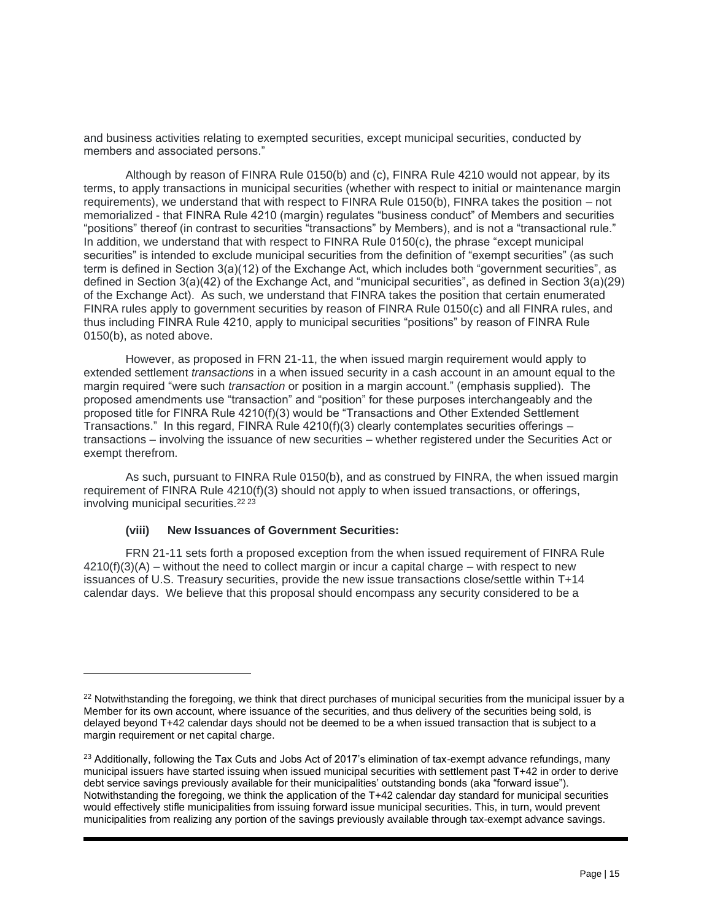and business activities relating to exempted securities, except municipal securities, conducted by members and associated persons."

Although by reason of FINRA Rule 0150(b) and (c), FINRA Rule 4210 would not appear, by its terms, to apply transactions in municipal securities (whether with respect to initial or maintenance margin requirements), we understand that with respect to FINRA Rule 0150(b), FINRA takes the position – not memorialized - that FINRA Rule 4210 (margin) regulates "business conduct" of Members and securities "positions" thereof (in contrast to securities "transactions" by Members), and is not a "transactional rule." In addition, we understand that with respect to FINRA Rule 0150(c), the phrase "except municipal securities" is intended to exclude municipal securities from the definition of "exempt securities" (as such term is defined in Section 3(a)(12) of the Exchange Act, which includes both "government securities", as defined in Section 3(a)(42) of the Exchange Act, and "municipal securities", as defined in Section 3(a)(29) of the Exchange Act). As such, we understand that FINRA takes the position that certain enumerated FINRA rules apply to government securities by reason of FINRA Rule 0150(c) and all FINRA rules, and thus including FINRA Rule 4210, apply to municipal securities "positions" by reason of FINRA Rule 0150(b), as noted above.

However, as proposed in FRN 21-11, the when issued margin requirement would apply to extended settlement *transactions* in a when issued security in a cash account in an amount equal to the margin required "were such *transaction* or position in a margin account." (emphasis supplied). The proposed amendments use "transaction" and "position" for these purposes interchangeably and the proposed title for FINRA Rule 4210(f)(3) would be "Transactions and Other Extended Settlement Transactions." In this regard, FINRA Rule  $4210(f)(3)$  clearly contemplates securities offerings – transactions – involving the issuance of new securities – whether registered under the Securities Act or exempt therefrom.

As such, pursuant to FINRA Rule 0150(b), and as construed by FINRA, the when issued margin requirement of FINRA Rule 4210(f)(3) should not apply to when issued transactions, or offerings, involving municipal securities.<sup>22 23</sup>

#### **(viii) New Issuances of Government Securities:**

FRN 21-11 sets forth a proposed exception from the when issued requirement of FINRA Rule  $4210(f)(3)(A)$  – without the need to collect margin or incur a capital charge – with respect to new issuances of U.S. Treasury securities, provide the new issue transactions close/settle within T+14 calendar days. We believe that this proposal should encompass any security considered to be a

<sup>&</sup>lt;sup>22</sup> Notwithstanding the foregoing, we think that direct purchases of municipal securities from the municipal issuer by a Member for its own account, where issuance of the securities, and thus delivery of the securities being sold, is delayed beyond T+42 calendar days should not be deemed to be a when issued transaction that is subject to a margin requirement or net capital charge.

<sup>&</sup>lt;sup>23</sup> Additionally, following the Tax Cuts and Jobs Act of 2017's elimination of tax-exempt advance refundings, many municipal issuers have started issuing when issued municipal securities with settlement past T+42 in order to derive debt service savings previously available for their municipalities' outstanding bonds (aka "forward issue"). Notwithstanding the foregoing, we think the application of the T+42 calendar day standard for municipal securities would effectively stifle municipalities from issuing forward issue municipal securities. This, in turn, would prevent municipalities from realizing any portion of the savings previously available through tax-exempt advance savings.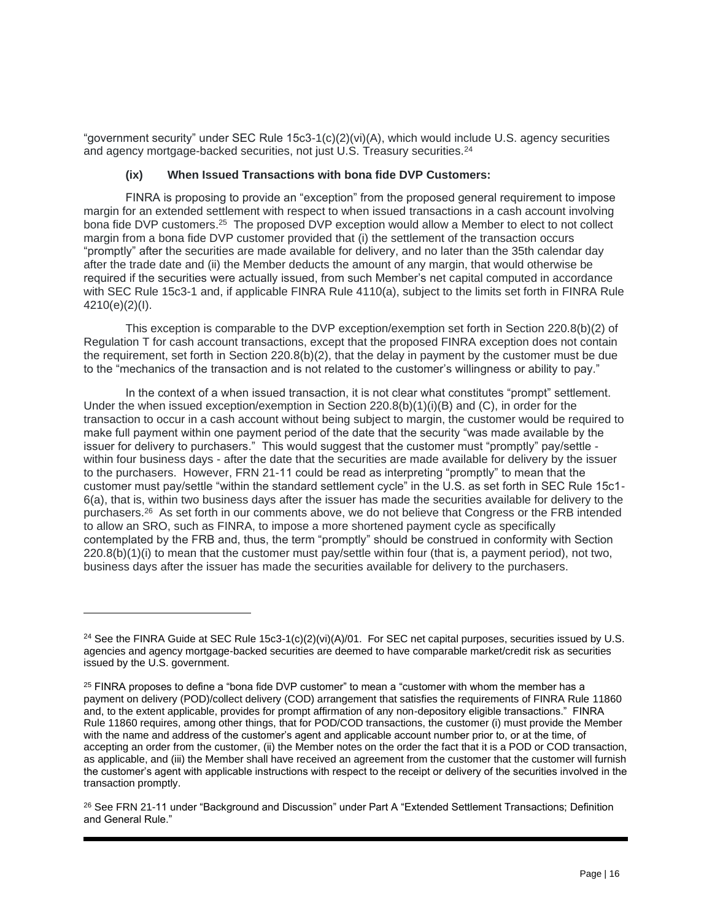"government security" under SEC Rule 15c3-1(c)(2)(vi)(A), which would include U.S. agency securities and agency mortgage-backed securities, not just U.S. Treasury securities.<sup>24</sup>

## **(ix) When Issued Transactions with bona fide DVP Customers:**

FINRA is proposing to provide an "exception" from the proposed general requirement to impose margin for an extended settlement with respect to when issued transactions in a cash account involving bona fide DVP customers.<sup>25</sup> The proposed DVP exception would allow a Member to elect to not collect margin from a bona fide DVP customer provided that (i) the settlement of the transaction occurs "promptly" after the securities are made available for delivery, and no later than the 35th calendar day after the trade date and (ii) the Member deducts the amount of any margin, that would otherwise be required if the securities were actually issued, from such Member's net capital computed in accordance with SEC Rule 15c3-1 and, if applicable FINRA Rule 4110(a), subject to the limits set forth in FINRA Rule 4210(e)(2)(I).

This exception is comparable to the DVP exception/exemption set forth in Section 220.8(b)(2) of Regulation T for cash account transactions, except that the proposed FINRA exception does not contain the requirement, set forth in Section 220.8(b)(2), that the delay in payment by the customer must be due to the "mechanics of the transaction and is not related to the customer's willingness or ability to pay."

In the context of a when issued transaction, it is not clear what constitutes "prompt" settlement. Under the when issued exception/exemption in Section  $220.8(b)(1)(i)(B)$  and  $(C)$ , in order for the transaction to occur in a cash account without being subject to margin, the customer would be required to make full payment within one payment period of the date that the security "was made available by the issuer for delivery to purchasers." This would suggest that the customer must "promptly" pay/settle within four business days - after the date that the securities are made available for delivery by the issuer to the purchasers. However, FRN 21-11 could be read as interpreting "promptly" to mean that the customer must pay/settle "within the standard settlement cycle" in the U.S. as set forth in SEC Rule 15c1- 6(a), that is, within two business days after the issuer has made the securities available for delivery to the purchasers.<sup>26</sup> As set forth in our comments above, we do not believe that Congress or the FRB intended to allow an SRO, such as FINRA, to impose a more shortened payment cycle as specifically contemplated by the FRB and, thus, the term "promptly" should be construed in conformity with Section 220.8(b)(1)(i) to mean that the customer must pay/settle within four (that is, a payment period), not two, business days after the issuer has made the securities available for delivery to the purchasers.

<sup>&</sup>lt;sup>24</sup> See the FINRA Guide at SEC Rule 15c3-1(c)(2)(vi)(A)/01. For SEC net capital purposes, securities issued by U.S. agencies and agency mortgage-backed securities are deemed to have comparable market/credit risk as securities issued by the U.S. government.

 $25$  FINRA proposes to define a "bona fide DVP customer" to mean a "customer with whom the member has a payment on delivery (POD)/collect delivery (COD) arrangement that satisfies the requirements of FINRA Rule 11860 and, to the extent applicable, provides for prompt affirmation of any non-depository eligible transactions." FINRA Rule 11860 requires, among other things, that for POD/COD transactions, the customer (i) must provide the Member with the name and address of the customer's agent and applicable account number prior to, or at the time, of accepting an order from the customer, (ii) the Member notes on the order the fact that it is a POD or COD transaction, as applicable, and (iii) the Member shall have received an agreement from the customer that the customer will furnish the customer's agent with applicable instructions with respect to the receipt or delivery of the securities involved in the transaction promptly.

<sup>26</sup> See FRN 21-11 under "Background and Discussion" under Part A "Extended Settlement Transactions; Definition and General Rule."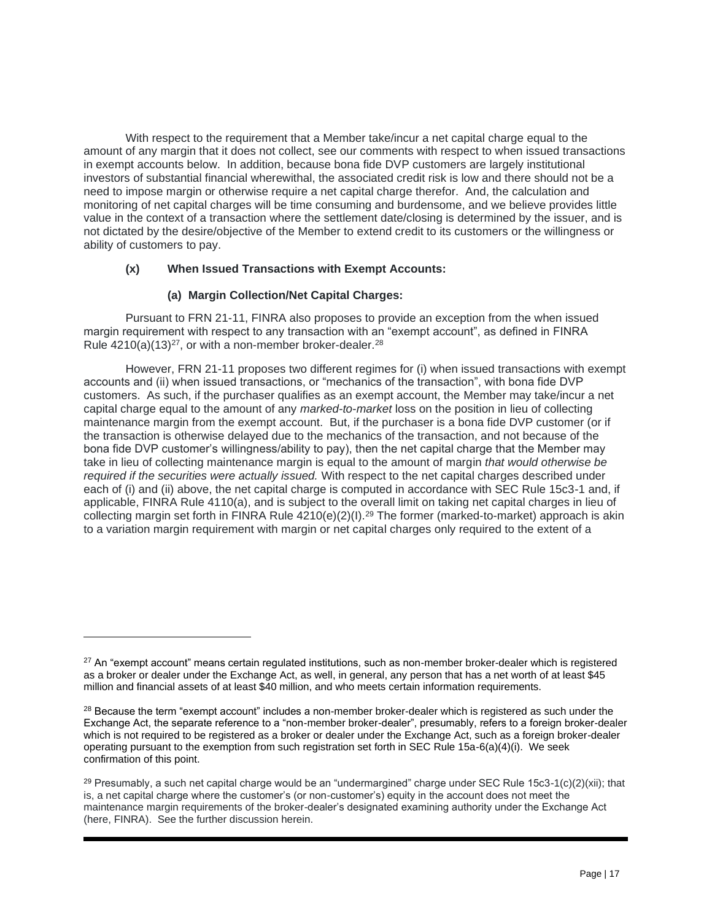With respect to the requirement that a Member take/incur a net capital charge equal to the amount of any margin that it does not collect, see our comments with respect to when issued transactions in exempt accounts below. In addition, because bona fide DVP customers are largely institutional investors of substantial financial wherewithal, the associated credit risk is low and there should not be a need to impose margin or otherwise require a net capital charge therefor. And, the calculation and monitoring of net capital charges will be time consuming and burdensome, and we believe provides little value in the context of a transaction where the settlement date/closing is determined by the issuer, and is not dictated by the desire/objective of the Member to extend credit to its customers or the willingness or ability of customers to pay.

# **(x) When Issued Transactions with Exempt Accounts:**

# **(a) Margin Collection/Net Capital Charges:**

Pursuant to FRN 21-11, FINRA also proposes to provide an exception from the when issued margin requirement with respect to any transaction with an "exempt account", as defined in FINRA Rule  $4210(a)(13)^{27}$ , or with a non-member broker-dealer.<sup>28</sup>

However, FRN 21-11 proposes two different regimes for (i) when issued transactions with exempt accounts and (ii) when issued transactions, or "mechanics of the transaction", with bona fide DVP customers. As such, if the purchaser qualifies as an exempt account, the Member may take/incur a net capital charge equal to the amount of any *marked-to-market* loss on the position in lieu of collecting maintenance margin from the exempt account. But, if the purchaser is a bona fide DVP customer (or if the transaction is otherwise delayed due to the mechanics of the transaction, and not because of the bona fide DVP customer's willingness/ability to pay), then the net capital charge that the Member may take in lieu of collecting maintenance margin is equal to the amount of margin *that would otherwise be required if the securities were actually issued.* With respect to the net capital charges described under each of (i) and (ii) above, the net capital charge is computed in accordance with SEC Rule 15c3-1 and, if applicable, FINRA Rule 4110(a), and is subject to the overall limit on taking net capital charges in lieu of collecting margin set forth in FINRA Rule 4210(e)(2)(I).<sup>29</sup> The former (marked-to-market) approach is akin to a variation margin requirement with margin or net capital charges only required to the extent of a

<sup>&</sup>lt;sup>27</sup> An "exempt account" means certain regulated institutions, such as non-member broker-dealer which is registered as a broker or dealer under the Exchange Act, as well, in general, any person that has a net worth of at least \$45 million and financial assets of at least \$40 million, and who meets certain information requirements.

<sup>&</sup>lt;sup>28</sup> Because the term "exempt account" includes a non-member broker-dealer which is registered as such under the Exchange Act, the separate reference to a "non-member broker-dealer", presumably, refers to a foreign broker-dealer which is not required to be registered as a broker or dealer under the Exchange Act, such as a foreign broker-dealer operating pursuant to the exemption from such registration set forth in SEC Rule 15a-6(a)(4)(i). We seek confirmation of this point.

<sup>&</sup>lt;sup>29</sup> Presumably, a such net capital charge would be an "undermargined" charge under SEC Rule 15c3-1(c)(2)(xii); that is, a net capital charge where the customer's (or non-customer's) equity in the account does not meet the maintenance margin requirements of the broker-dealer's designated examining authority under the Exchange Act (here, FINRA). See the further discussion herein.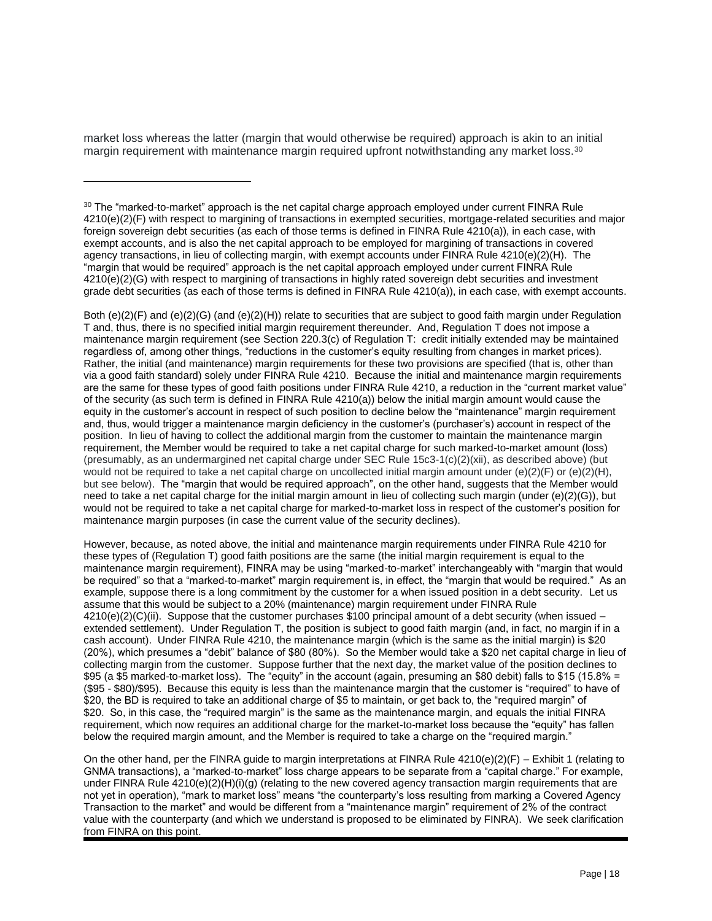market loss whereas the latter (margin that would otherwise be required) approach is akin to an initial margin requirement with maintenance margin required upfront notwithstanding any market loss.<sup>30</sup>

Both (e)(2)(F) and (e)(2)(G) (and (e)(2)(H)) relate to securities that are subject to good faith margin under Regulation T and, thus, there is no specified initial margin requirement thereunder. And, Regulation T does not impose a maintenance margin requirement (see Section 220.3(c) of Regulation T: credit initially extended may be maintained regardless of, among other things, "reductions in the customer's equity resulting from changes in market prices). Rather, the initial (and maintenance) margin requirements for these two provisions are specified (that is, other than via a good faith standard) solely under FINRA Rule 4210. Because the initial and maintenance margin requirements are the same for these types of good faith positions under FINRA Rule 4210, a reduction in the "current market value" of the security (as such term is defined in FINRA Rule 4210(a)) below the initial margin amount would cause the equity in the customer's account in respect of such position to decline below the "maintenance" margin requirement and, thus, would trigger a maintenance margin deficiency in the customer's (purchaser's) account in respect of the position. In lieu of having to collect the additional margin from the customer to maintain the maintenance margin requirement, the Member would be required to take a net capital charge for such marked-to-market amount (loss) (presumably, as an undermargined net capital charge under SEC Rule 15c3-1(c)(2)(xii), as described above) (but would not be required to take a net capital charge on uncollected initial margin amount under  $(e)(2)(F)$  or  $(e)(2)(H)$ , but see below). The "margin that would be required approach", on the other hand, suggests that the Member would need to take a net capital charge for the initial margin amount in lieu of collecting such margin (under (e)(2)(G)), but would not be required to take a net capital charge for marked-to-market loss in respect of the customer's position for maintenance margin purposes (in case the current value of the security declines).

However, because, as noted above, the initial and maintenance margin requirements under FINRA Rule 4210 for these types of (Regulation T) good faith positions are the same (the initial margin requirement is equal to the maintenance margin requirement), FINRA may be using "marked-to-market" interchangeably with "margin that would be required" so that a "marked-to-market" margin requirement is, in effect, the "margin that would be required." As an example, suppose there is a long commitment by the customer for a when issued position in a debt security. Let us assume that this would be subject to a 20% (maintenance) margin requirement under FINRA Rule  $4210(e)(2)(C)(ii)$ . Suppose that the customer purchases \$100 principal amount of a debt security (when issued – extended settlement). Under Regulation T, the position is subject to good faith margin (and, in fact, no margin if in a cash account). Under FINRA Rule 4210, the maintenance margin (which is the same as the initial margin) is \$20 (20%), which presumes a "debit" balance of \$80 (80%). So the Member would take a \$20 net capital charge in lieu of collecting margin from the customer. Suppose further that the next day, the market value of the position declines to \$95 (a \$5 marked-to-market loss). The "equity" in the account (again, presuming an \$80 debit) falls to \$15 (15.8% = (\$95 - \$80)/\$95). Because this equity is less than the maintenance margin that the customer is "required" to have of \$20, the BD is required to take an additional charge of \$5 to maintain, or get back to, the "required margin" of \$20. So, in this case, the "required margin" is the same as the maintenance margin, and equals the initial FINRA requirement, which now requires an additional charge for the market-to-market loss because the "equity" has fallen below the required margin amount, and the Member is required to take a charge on the "required margin."

On the other hand, per the FINRA guide to margin interpretations at FINRA Rule  $4210(e)(2)(F) -$  Exhibit 1 (relating to GNMA transactions), a "marked-to-market" loss charge appears to be separate from a "capital charge." For example, under FINRA Rule 4210(e)(2)(H)(i)(g) (relating to the new covered agency transaction margin requirements that are not yet in operation), "mark to market loss" means "the counterparty's loss resulting from marking a Covered Agency Transaction to the market" and would be different from a "maintenance margin" requirement of 2% of the contract value with the counterparty (and which we understand is proposed to be eliminated by FINRA). We seek clarification from FINRA on this point.

<sup>&</sup>lt;sup>30</sup> The "marked-to-market" approach is the net capital charge approach employed under current FINRA Rule 4210(e)(2)(F) with respect to margining of transactions in exempted securities, mortgage-related securities and major foreign sovereign debt securities (as each of those terms is defined in FINRA Rule 4210(a)), in each case, with exempt accounts, and is also the net capital approach to be employed for margining of transactions in covered agency transactions, in lieu of collecting margin, with exempt accounts under FINRA Rule 4210(e)(2)(H). The "margin that would be required" approach is the net capital approach employed under current FINRA Rule 4210(e)(2)(G) with respect to margining of transactions in highly rated sovereign debt securities and investment grade debt securities (as each of those terms is defined in FINRA Rule 4210(a)), in each case, with exempt accounts.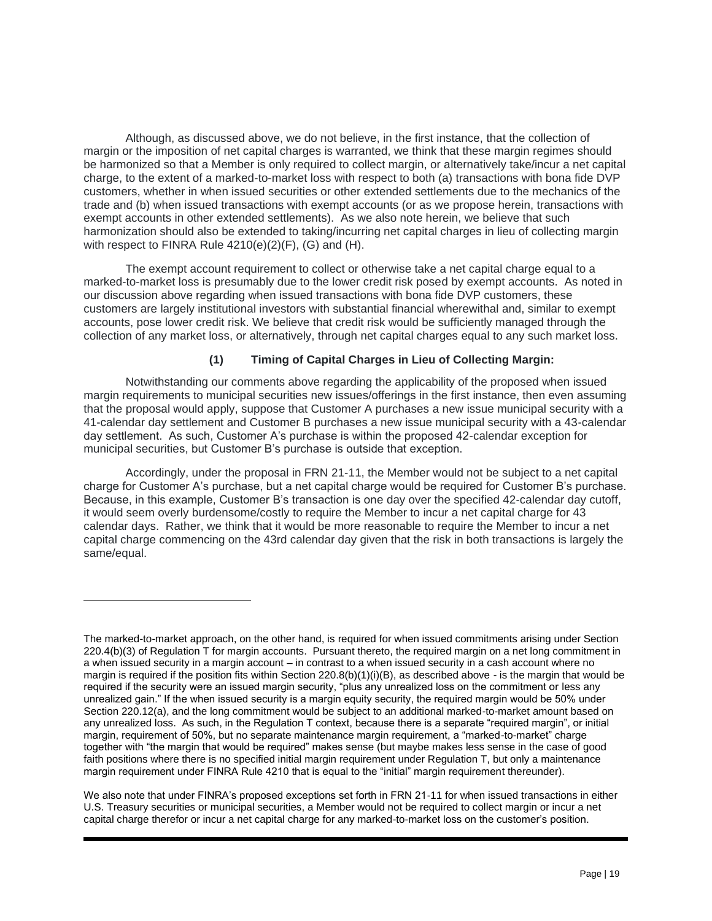Although, as discussed above, we do not believe, in the first instance, that the collection of margin or the imposition of net capital charges is warranted, we think that these margin regimes should be harmonized so that a Member is only required to collect margin, or alternatively take/incur a net capital charge, to the extent of a marked-to-market loss with respect to both (a) transactions with bona fide DVP customers, whether in when issued securities or other extended settlements due to the mechanics of the trade and (b) when issued transactions with exempt accounts (or as we propose herein, transactions with exempt accounts in other extended settlements). As we also note herein, we believe that such harmonization should also be extended to taking/incurring net capital charges in lieu of collecting margin with respect to FINRA Rule 4210(e)(2)(F), (G) and (H).

The exempt account requirement to collect or otherwise take a net capital charge equal to a marked-to-market loss is presumably due to the lower credit risk posed by exempt accounts. As noted in our discussion above regarding when issued transactions with bona fide DVP customers, these customers are largely institutional investors with substantial financial wherewithal and, similar to exempt accounts, pose lower credit risk. We believe that credit risk would be sufficiently managed through the collection of any market loss, or alternatively, through net capital charges equal to any such market loss.

# **(1) Timing of Capital Charges in Lieu of Collecting Margin:**

Notwithstanding our comments above regarding the applicability of the proposed when issued margin requirements to municipal securities new issues/offerings in the first instance, then even assuming that the proposal would apply, suppose that Customer A purchases a new issue municipal security with a 41-calendar day settlement and Customer B purchases a new issue municipal security with a 43-calendar day settlement. As such, Customer A's purchase is within the proposed 42-calendar exception for municipal securities, but Customer B's purchase is outside that exception.

Accordingly, under the proposal in FRN 21-11, the Member would not be subject to a net capital charge for Customer A's purchase, but a net capital charge would be required for Customer B's purchase. Because, in this example, Customer B's transaction is one day over the specified 42-calendar day cutoff, it would seem overly burdensome/costly to require the Member to incur a net capital charge for 43 calendar days. Rather, we think that it would be more reasonable to require the Member to incur a net capital charge commencing on the 43rd calendar day given that the risk in both transactions is largely the same/equal.

The marked-to-market approach, on the other hand, is required for when issued commitments arising under Section 220.4(b)(3) of Regulation T for margin accounts. Pursuant thereto, the required margin on a net long commitment in a when issued security in a margin account – in contrast to a when issued security in a cash account where no margin is required if the position fits within Section  $220.8(b)(1)(i)(B)$ , as described above - is the margin that would be required if the security were an issued margin security, "plus any unrealized loss on the commitment or less any unrealized gain." If the when issued security is a margin equity security, the required margin would be 50% under Section 220.12(a), and the long commitment would be subject to an additional marked-to-market amount based on any unrealized loss. As such, in the Regulation T context, because there is a separate "required margin", or initial margin, requirement of 50%, but no separate maintenance margin requirement, a "marked-to-market" charge together with "the margin that would be required" makes sense (but maybe makes less sense in the case of good faith positions where there is no specified initial margin requirement under Regulation T, but only a maintenance margin requirement under FINRA Rule 4210 that is equal to the "initial" margin requirement thereunder).

We also note that under FINRA's proposed exceptions set forth in FRN 21-11 for when issued transactions in either U.S. Treasury securities or municipal securities, a Member would not be required to collect margin or incur a net capital charge therefor or incur a net capital charge for any marked-to-market loss on the customer's position.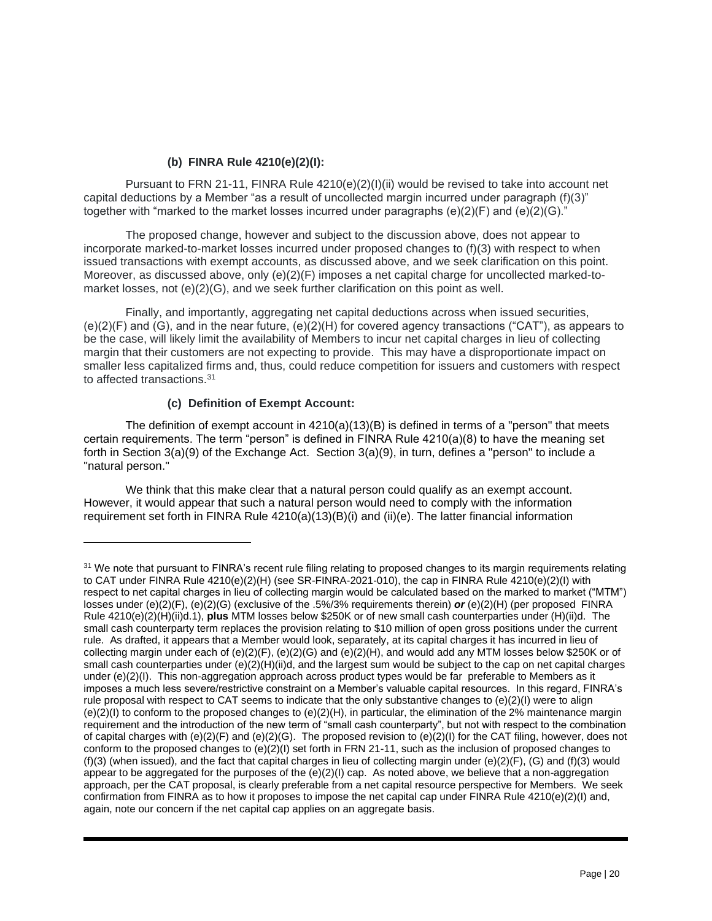# **(b) FINRA Rule 4210(e)(2)(I):**

Pursuant to FRN 21-11, FINRA Rule 4210(e)(2)(I)(ii) would be revised to take into account net capital deductions by a Member "as a result of uncollected margin incurred under paragraph (f)(3)" together with "marked to the market losses incurred under paragraphs  $(e)(2)(F)$  and  $(e)(2)(G)$ ."

The proposed change, however and subject to the discussion above, does not appear to incorporate marked-to-market losses incurred under proposed changes to (f)(3) with respect to when issued transactions with exempt accounts, as discussed above, and we seek clarification on this point. Moreover, as discussed above, only (e)(2)(F) imposes a net capital charge for uncollected marked-tomarket losses, not (e)(2)(G), and we seek further clarification on this point as well.

Finally, and importantly, aggregating net capital deductions across when issued securities, (e)(2)(F) and (G), and in the near future, (e)(2)(H) for covered agency transactions ("CAT"), as appears to be the case, will likely limit the availability of Members to incur net capital charges in lieu of collecting margin that their customers are not expecting to provide. This may have a disproportionate impact on smaller less capitalized firms and, thus, could reduce competition for issuers and customers with respect to affected transactions.<sup>31</sup>

# **(c) Definition of Exempt Account:**

The definition of exempt account in 4210(a)(13)(B) is defined in terms of a "person" that meets certain requirements. The term "person" is defined in FINRA Rule 4210(a)(8) to have the meaning set forth in Section 3(a)(9) of the Exchange Act. Section 3(a)(9), in turn, defines a "person" to include a "natural person."

We think that this make clear that a natural person could qualify as an exempt account. However, it would appear that such a natural person would need to comply with the information requirement set forth in FINRA Rule 4210(a)(13)(B)(i) and (ii)(e). The latter financial information

<sup>&</sup>lt;sup>31</sup> We note that pursuant to FINRA's recent rule filing relating to proposed changes to its margin requirements relating to CAT under FINRA Rule 4210(e)(2)(H) (see SR-FINRA-2021-010), the cap in FINRA Rule 4210(e)(2)(I) with respect to net capital charges in lieu of collecting margin would be calculated based on the marked to market ("MTM") losses under (e)(2)(F), (e)(2)(G) (exclusive of the .5%/3% requirements therein) *or* (e)(2)(H) (per proposed FINRA Rule 4210(e)(2)(H)(ii)d.1), **plus** MTM losses below \$250K or of new small cash counterparties under (H)(ii)d. The small cash counterparty term replaces the provision relating to \$10 million of open gross positions under the current rule. As drafted, it appears that a Member would look, separately, at its capital charges it has incurred in lieu of collecting margin under each of (e)(2)(F), (e)(2)(G) and (e)(2)(H), and would add any MTM losses below \$250K or of small cash counterparties under (e)(2)(H)(ii)d, and the largest sum would be subject to the cap on net capital charges under (e)(2)(I). This non-aggregation approach across product types would be far preferable to Members as it imposes a much less severe/restrictive constraint on a Member's valuable capital resources. In this regard, FINRA's rule proposal with respect to CAT seems to indicate that the only substantive changes to (e)(2)(I) were to align  $(e)(2)(I)$  to conform to the proposed changes to  $(e)(2)(H)$ , in particular, the elimination of the 2% maintenance margin requirement and the introduction of the new term of "small cash counterparty", but not with respect to the combination of capital charges with  $(e)(2)(F)$  and  $(e)(2)(G)$ . The proposed revision to  $(e)(2)(I)$  for the CAT filing, however, does not conform to the proposed changes to  $(e)(2)(1)$  set forth in FRN 21-11, such as the inclusion of proposed changes to (f)(3) (when issued), and the fact that capital charges in lieu of collecting margin under  $(e)(2)(F)$ , (G) and (f)(3) would appear to be aggregated for the purposes of the (e)(2)(I) cap. As noted above, we believe that a non-aggregation approach, per the CAT proposal, is clearly preferable from a net capital resource perspective for Members. We seek confirmation from FINRA as to how it proposes to impose the net capital cap under FINRA Rule 4210(e)(2)(I) and, again, note our concern if the net capital cap applies on an aggregate basis.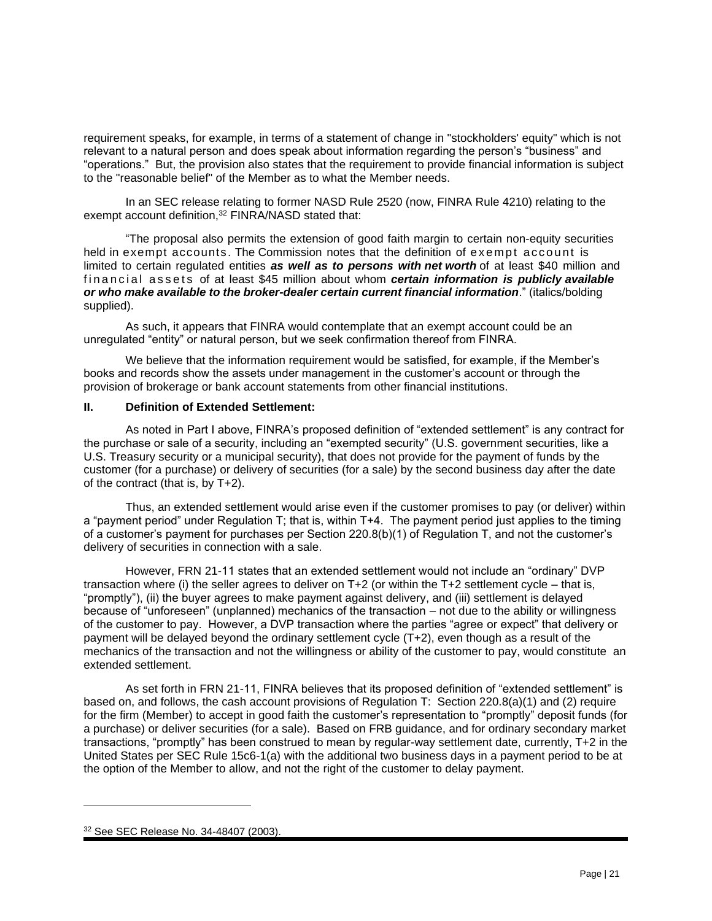requirement speaks, for example, in terms of a statement of change in "stockholders' equity" which is not relevant to a natural person and does speak about information regarding the person's "business" and "operations." But, the provision also states that the requirement to provide financial information is subject to the "reasonable belief" of the Member as to what the Member needs.

In an SEC release relating to former NASD Rule 2520 (now, FINRA Rule 4210) relating to the exempt account definition,<sup>32</sup> FINRA/NASD stated that:

"The proposal also permits the extension of good faith margin to certain non-equity securities held in exempt accounts. The Commission notes that the definition of exempt account is limited to certain regulated entities *as well as to persons with net worth* of at least \$40 million and fin an cial assets of at least \$45 million about whom *certain information is publicly available or who make available to the broker-dealer certain current financial information*." (italics/bolding supplied).

As such, it appears that FINRA would contemplate that an exempt account could be an unregulated "entity" or natural person, but we seek confirmation thereof from FINRA.

We believe that the information requirement would be satisfied, for example, if the Member's books and records show the assets under management in the customer's account or through the provision of brokerage or bank account statements from other financial institutions.

#### **II. Definition of Extended Settlement:**

As noted in Part I above, FINRA's proposed definition of "extended settlement" is any contract for the purchase or sale of a security, including an "exempted security" (U.S. government securities, like a U.S. Treasury security or a municipal security), that does not provide for the payment of funds by the customer (for a purchase) or delivery of securities (for a sale) by the second business day after the date of the contract (that is, by T+2).

Thus, an extended settlement would arise even if the customer promises to pay (or deliver) within a "payment period" under Regulation T; that is, within T+4. The payment period just applies to the timing of a customer's payment for purchases per Section 220.8(b)(1) of Regulation T, and not the customer's delivery of securities in connection with a sale.

However, FRN 21-11 states that an extended settlement would not include an "ordinary" DVP transaction where (i) the seller agrees to deliver on T+2 (or within the T+2 settlement cycle – that is, "promptly"), (ii) the buyer agrees to make payment against delivery, and (iii) settlement is delayed because of "unforeseen" (unplanned) mechanics of the transaction – not due to the ability or willingness of the customer to pay. However, a DVP transaction where the parties "agree or expect" that delivery or payment will be delayed beyond the ordinary settlement cycle (T+2), even though as a result of the mechanics of the transaction and not the willingness or ability of the customer to pay, would constitute an extended settlement.

As set forth in FRN 21-11, FINRA believes that its proposed definition of "extended settlement" is based on, and follows, the cash account provisions of Regulation T: Section 220.8(a)(1) and (2) require for the firm (Member) to accept in good faith the customer's representation to "promptly" deposit funds (for a purchase) or deliver securities (for a sale). Based on FRB guidance, and for ordinary secondary market transactions, "promptly" has been construed to mean by regular-way settlement date, currently, T+2 in the United States per SEC Rule 15c6-1(a) with the additional two business days in a payment period to be at the option of the Member to allow, and not the right of the customer to delay payment.

<sup>32</sup> See SEC Release No. 34-48407 (2003).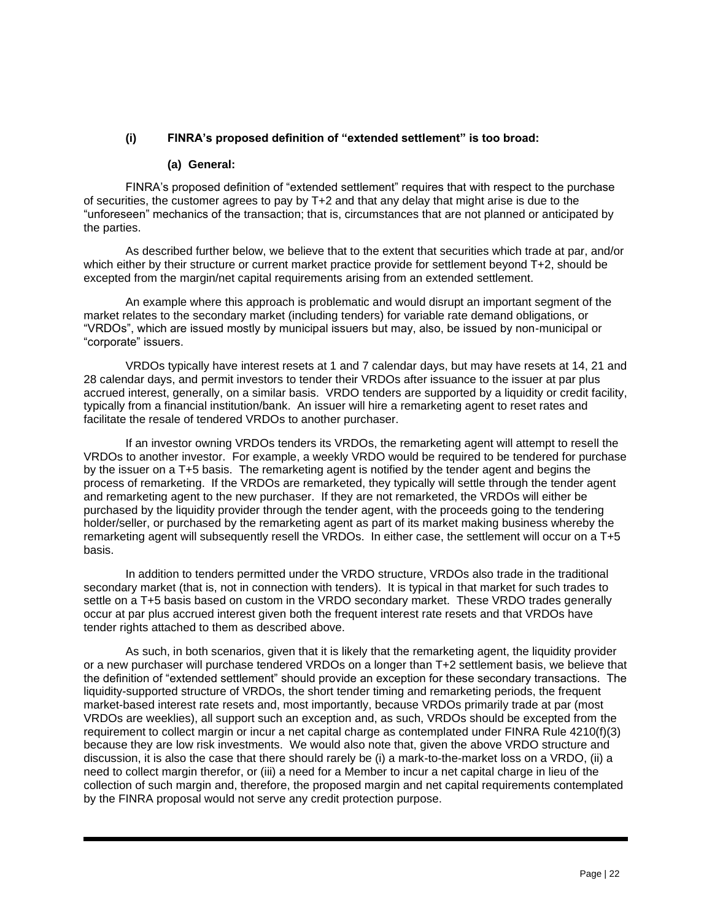# **(i) FINRA's proposed definition of "extended settlement" is too broad:**

#### **(a) General:**

FINRA's proposed definition of "extended settlement" requires that with respect to the purchase of securities, the customer agrees to pay by T+2 and that any delay that might arise is due to the "unforeseen" mechanics of the transaction; that is, circumstances that are not planned or anticipated by the parties.

As described further below, we believe that to the extent that securities which trade at par, and/or which either by their structure or current market practice provide for settlement beyond T+2, should be excepted from the margin/net capital requirements arising from an extended settlement.

An example where this approach is problematic and would disrupt an important segment of the market relates to the secondary market (including tenders) for variable rate demand obligations, or "VRDOs", which are issued mostly by municipal issuers but may, also, be issued by non-municipal or "corporate" issuers.

VRDOs typically have interest resets at 1 and 7 calendar days, but may have resets at 14, 21 and 28 calendar days, and permit investors to tender their VRDOs after issuance to the issuer at par plus accrued interest, generally, on a similar basis. VRDO tenders are supported by a liquidity or credit facility, typically from a financial institution/bank. An issuer will hire a remarketing agent to reset rates and facilitate the resale of tendered VRDOs to another purchaser.

If an investor owning VRDOs tenders its VRDOs, the remarketing agent will attempt to resell the VRDOs to another investor. For example, a weekly VRDO would be required to be tendered for purchase by the issuer on a T+5 basis. The remarketing agent is notified by the tender agent and begins the process of remarketing. If the VRDOs are remarketed, they typically will settle through the tender agent and remarketing agent to the new purchaser. If they are not remarketed, the VRDOs will either be purchased by the liquidity provider through the tender agent, with the proceeds going to the tendering holder/seller, or purchased by the remarketing agent as part of its market making business whereby the remarketing agent will subsequently resell the VRDOs. In either case, the settlement will occur on a T+5 basis.

In addition to tenders permitted under the VRDO structure, VRDOs also trade in the traditional secondary market (that is, not in connection with tenders). It is typical in that market for such trades to settle on a T+5 basis based on custom in the VRDO secondary market. These VRDO trades generally occur at par plus accrued interest given both the frequent interest rate resets and that VRDOs have tender rights attached to them as described above.

As such, in both scenarios, given that it is likely that the remarketing agent, the liquidity provider or a new purchaser will purchase tendered VRDOs on a longer than T+2 settlement basis, we believe that the definition of "extended settlement" should provide an exception for these secondary transactions. The liquidity-supported structure of VRDOs, the short tender timing and remarketing periods, the frequent market-based interest rate resets and, most importantly, because VRDOs primarily trade at par (most VRDOs are weeklies), all support such an exception and, as such, VRDOs should be excepted from the requirement to collect margin or incur a net capital charge as contemplated under FINRA Rule 4210(f)(3) because they are low risk investments. We would also note that, given the above VRDO structure and discussion, it is also the case that there should rarely be (i) a mark-to-the-market loss on a VRDO, (ii) a need to collect margin therefor, or (iii) a need for a Member to incur a net capital charge in lieu of the collection of such margin and, therefore, the proposed margin and net capital requirements contemplated by the FINRA proposal would not serve any credit protection purpose.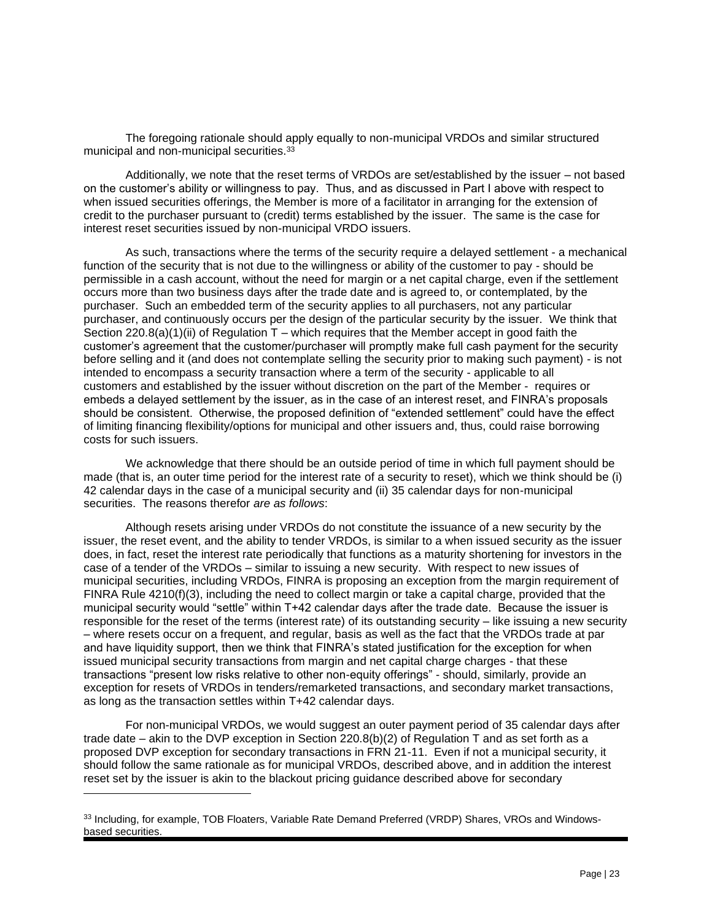The foregoing rationale should apply equally to non-municipal VRDOs and similar structured municipal and non-municipal securities.<sup>33</sup>

Additionally, we note that the reset terms of VRDOs are set/established by the issuer – not based on the customer's ability or willingness to pay. Thus, and as discussed in Part I above with respect to when issued securities offerings, the Member is more of a facilitator in arranging for the extension of credit to the purchaser pursuant to (credit) terms established by the issuer. The same is the case for interest reset securities issued by non-municipal VRDO issuers.

As such, transactions where the terms of the security require a delayed settlement - a mechanical function of the security that is not due to the willingness or ability of the customer to pay - should be permissible in a cash account, without the need for margin or a net capital charge, even if the settlement occurs more than two business days after the trade date and is agreed to, or contemplated, by the purchaser. Such an embedded term of the security applies to all purchasers, not any particular purchaser, and continuously occurs per the design of the particular security by the issuer. We think that Section 220.8(a)(1)(ii) of Regulation  $T$  – which requires that the Member accept in good faith the customer's agreement that the customer/purchaser will promptly make full cash payment for the security before selling and it (and does not contemplate selling the security prior to making such payment) - is not intended to encompass a security transaction where a term of the security - applicable to all customers and established by the issuer without discretion on the part of the Member - requires or embeds a delayed settlement by the issuer, as in the case of an interest reset, and FINRA's proposals should be consistent. Otherwise, the proposed definition of "extended settlement" could have the effect of limiting financing flexibility/options for municipal and other issuers and, thus, could raise borrowing costs for such issuers.

We acknowledge that there should be an outside period of time in which full payment should be made (that is, an outer time period for the interest rate of a security to reset), which we think should be (i) 42 calendar days in the case of a municipal security and (ii) 35 calendar days for non-municipal securities. The reasons therefor *are as follows*:

Although resets arising under VRDOs do not constitute the issuance of a new security by the issuer, the reset event, and the ability to tender VRDOs, is similar to a when issued security as the issuer does, in fact, reset the interest rate periodically that functions as a maturity shortening for investors in the case of a tender of the VRDOs – similar to issuing a new security. With respect to new issues of municipal securities, including VRDOs, FINRA is proposing an exception from the margin requirement of FINRA Rule 4210(f)(3), including the need to collect margin or take a capital charge, provided that the municipal security would "settle" within T+42 calendar days after the trade date. Because the issuer is responsible for the reset of the terms (interest rate) of its outstanding security – like issuing a new security – where resets occur on a frequent, and regular, basis as well as the fact that the VRDOs trade at par and have liquidity support, then we think that FINRA's stated justification for the exception for when issued municipal security transactions from margin and net capital charge charges - that these transactions "present low risks relative to other non-equity offerings" - should, similarly, provide an exception for resets of VRDOs in tenders/remarketed transactions, and secondary market transactions, as long as the transaction settles within T+42 calendar days.

For non-municipal VRDOs, we would suggest an outer payment period of 35 calendar days after trade date – akin to the DVP exception in Section 220.8(b)(2) of Regulation T and as set forth as a proposed DVP exception for secondary transactions in FRN 21-11. Even if not a municipal security, it should follow the same rationale as for municipal VRDOs, described above, and in addition the interest reset set by the issuer is akin to the blackout pricing guidance described above for secondary

<sup>33</sup> Including, for example, TOB Floaters, Variable Rate Demand Preferred (VRDP) Shares, VROs and Windowsbased securities.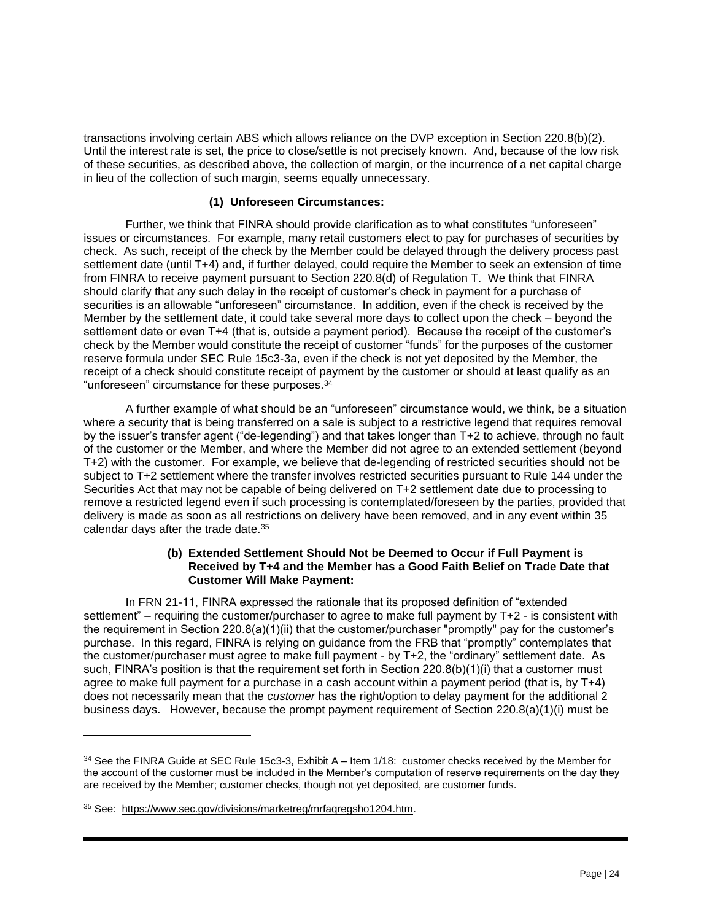transactions involving certain ABS which allows reliance on the DVP exception in Section 220.8(b)(2). Until the interest rate is set, the price to close/settle is not precisely known. And, because of the low risk of these securities, as described above, the collection of margin, or the incurrence of a net capital charge in lieu of the collection of such margin, seems equally unnecessary.

## **(1) Unforeseen Circumstances:**

Further, we think that FINRA should provide clarification as to what constitutes "unforeseen" issues or circumstances. For example, many retail customers elect to pay for purchases of securities by check. As such, receipt of the check by the Member could be delayed through the delivery process past settlement date (until T+4) and, if further delayed, could require the Member to seek an extension of time from FINRA to receive payment pursuant to Section 220.8(d) of Regulation T. We think that FINRA should clarify that any such delay in the receipt of customer's check in payment for a purchase of securities is an allowable "unforeseen" circumstance. In addition, even if the check is received by the Member by the settlement date, it could take several more days to collect upon the check – beyond the settlement date or even T+4 (that is, outside a payment period). Because the receipt of the customer's check by the Member would constitute the receipt of customer "funds" for the purposes of the customer reserve formula under SEC Rule 15c3-3a, even if the check is not yet deposited by the Member, the receipt of a check should constitute receipt of payment by the customer or should at least qualify as an "unforeseen" circumstance for these purposes.<sup>34</sup>

A further example of what should be an "unforeseen" circumstance would, we think, be a situation where a security that is being transferred on a sale is subject to a restrictive legend that requires removal by the issuer's transfer agent ("de-legending") and that takes longer than T+2 to achieve, through no fault of the customer or the Member, and where the Member did not agree to an extended settlement (beyond T+2) with the customer. For example, we believe that de-legending of restricted securities should not be subject to T+2 settlement where the transfer involves restricted securities pursuant to Rule 144 under the Securities Act that may not be capable of being delivered on T+2 settlement date due to processing to remove a restricted legend even if such processing is contemplated/foreseen by the parties, provided that delivery is made as soon as all restrictions on delivery have been removed, and in any event within 35 calendar days after the trade date.<sup>35</sup>

#### **(b) Extended Settlement Should Not be Deemed to Occur if Full Payment is Received by T+4 and the Member has a Good Faith Belief on Trade Date that Customer Will Make Payment:**

In FRN 21-11, FINRA expressed the rationale that its proposed definition of "extended settlement" – requiring the customer/purchaser to agree to make full payment by T+2 - is consistent with the requirement in Section 220.8(a)(1)(ii) that the customer/purchaser "promptly" pay for the customer's purchase. In this regard, FINRA is relying on guidance from the FRB that "promptly" contemplates that the customer/purchaser must agree to make full payment - by T+2, the "ordinary" settlement date. As such, FINRA's position is that the requirement set forth in Section 220.8(b)(1)(i) that a customer must agree to make full payment for a purchase in a cash account within a payment period (that is, by T+4) does not necessarily mean that the *customer* has the right/option to delay payment for the additional 2 business days. However, because the prompt payment requirement of Section 220.8(a)(1)(i) must be

<sup>34</sup> See the FINRA Guide at SEC Rule 15c3-3, Exhibit A – Item 1/18: customer checks received by the Member for the account of the customer must be included in the Member's computation of reserve requirements on the day they are received by the Member; customer checks, though not yet deposited, are customer funds.

<sup>35</sup> See: [https://www.sec.gov/divisions/marketreg/mrfaqregsho1204.htm.](https://www.sec.gov/divisions/marketreg/mrfaqregsho1204.htm)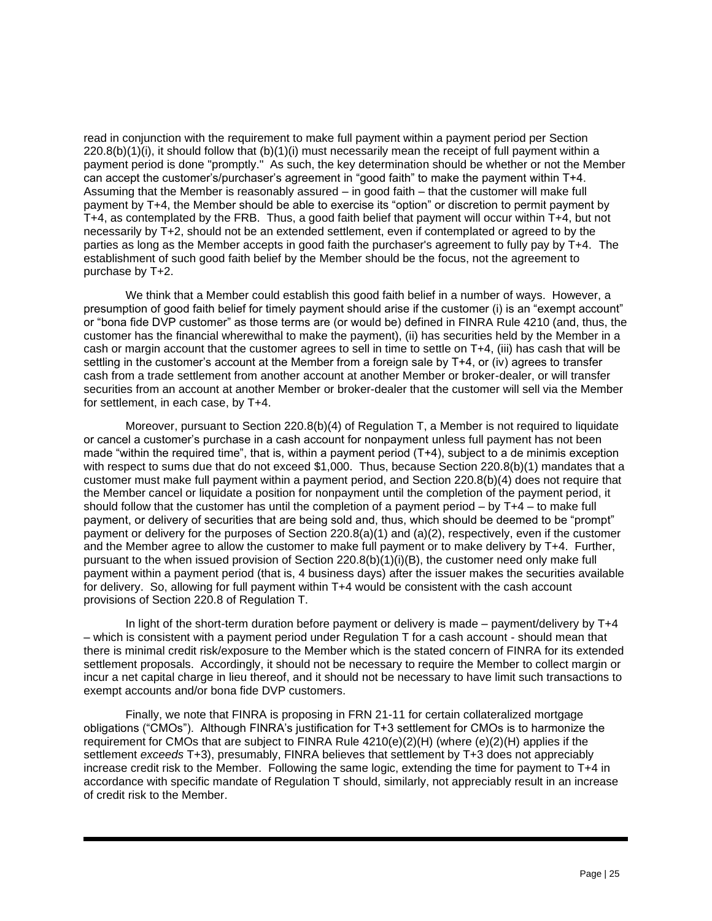read in conjunction with the requirement to make full payment within a payment period per Section  $220.8(b)(1)(i)$ , it should follow that  $(b)(1)(i)$  must necessarily mean the receipt of full payment within a payment period is done "promptly." As such, the key determination should be whether or not the Member can accept the customer's/purchaser's agreement in "good faith" to make the payment within T+4. Assuming that the Member is reasonably assured – in good faith – that the customer will make full payment by T+4, the Member should be able to exercise its "option" or discretion to permit payment by T+4, as contemplated by the FRB. Thus, a good faith belief that payment will occur within T+4, but not necessarily by T+2, should not be an extended settlement, even if contemplated or agreed to by the parties as long as the Member accepts in good faith the purchaser's agreement to fully pay by T+4. The establishment of such good faith belief by the Member should be the focus, not the agreement to purchase by T+2.

We think that a Member could establish this good faith belief in a number of ways. However, a presumption of good faith belief for timely payment should arise if the customer (i) is an "exempt account" or "bona fide DVP customer" as those terms are (or would be) defined in FINRA Rule 4210 (and, thus, the customer has the financial wherewithal to make the payment), (ii) has securities held by the Member in a cash or margin account that the customer agrees to sell in time to settle on T+4, (iii) has cash that will be settling in the customer's account at the Member from a foreign sale by T+4, or (iv) agrees to transfer cash from a trade settlement from another account at another Member or broker-dealer, or will transfer securities from an account at another Member or broker-dealer that the customer will sell via the Member for settlement, in each case, by T+4.

Moreover, pursuant to Section 220.8(b)(4) of Regulation T, a Member is not required to liquidate or cancel a customer's purchase in a cash account for nonpayment unless full payment has not been made "within the required time", that is, within a payment period (T+4), subject to a de minimis exception with respect to sums due that do not exceed \$1,000. Thus, because Section 220.8(b)(1) mandates that a customer must make full payment within a payment period, and Section 220.8(b)(4) does not require that the Member cancel or liquidate a position for nonpayment until the completion of the payment period, it should follow that the customer has until the completion of a payment period – by T+4 – to make full payment, or delivery of securities that are being sold and, thus, which should be deemed to be "prompt" payment or delivery for the purposes of Section 220.8(a)(1) and (a)(2), respectively, even if the customer and the Member agree to allow the customer to make full payment or to make delivery by T+4. Further, pursuant to the when issued provision of Section 220.8(b)(1)(i)(B), the customer need only make full payment within a payment period (that is, 4 business days) after the issuer makes the securities available for delivery. So, allowing for full payment within T+4 would be consistent with the cash account provisions of Section 220.8 of Regulation T.

In light of the short-term duration before payment or delivery is made – payment/delivery by T+4 – which is consistent with a payment period under Regulation T for a cash account - should mean that there is minimal credit risk/exposure to the Member which is the stated concern of FINRA for its extended settlement proposals. Accordingly, it should not be necessary to require the Member to collect margin or incur a net capital charge in lieu thereof, and it should not be necessary to have limit such transactions to exempt accounts and/or bona fide DVP customers.

Finally, we note that FINRA is proposing in FRN 21-11 for certain collateralized mortgage obligations ("CMOs"). Although FINRA's justification for T+3 settlement for CMOs is to harmonize the requirement for CMOs that are subject to FINRA Rule  $4210(e)(2)(H)$  (where  $(e)(2)(H)$  applies if the settlement *exceeds* T+3), presumably, FINRA believes that settlement by T+3 does not appreciably increase credit risk to the Member. Following the same logic, extending the time for payment to T+4 in accordance with specific mandate of Regulation T should, similarly, not appreciably result in an increase of credit risk to the Member.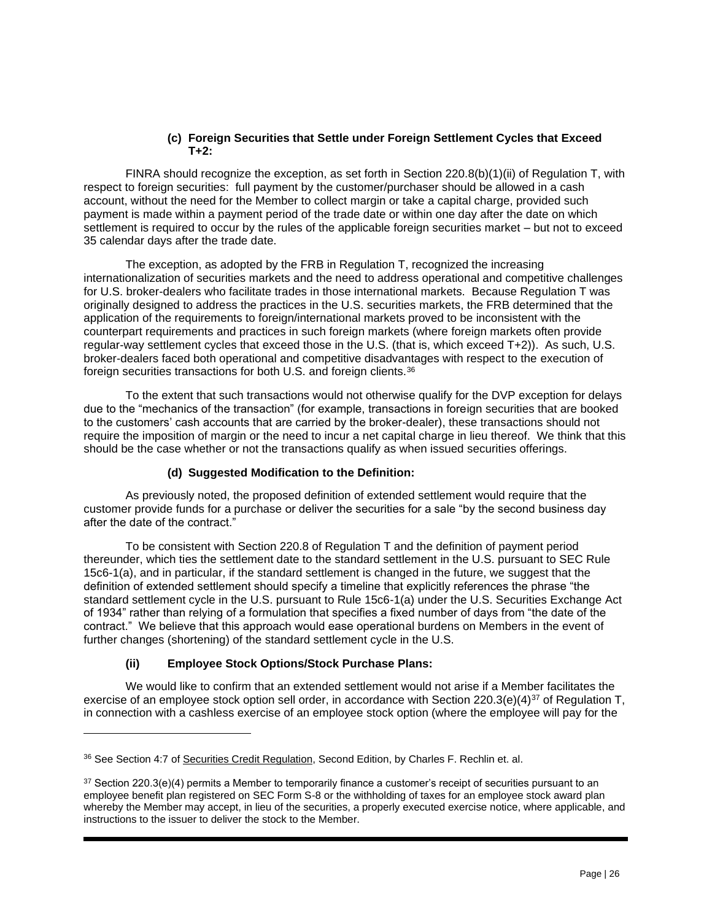## **(c) Foreign Securities that Settle under Foreign Settlement Cycles that Exceed T+2:**

FINRA should recognize the exception, as set forth in Section 220.8(b)(1)(ii) of Regulation T, with respect to foreign securities: full payment by the customer/purchaser should be allowed in a cash account, without the need for the Member to collect margin or take a capital charge, provided such payment is made within a payment period of the trade date or within one day after the date on which settlement is required to occur by the rules of the applicable foreign securities market – but not to exceed 35 calendar days after the trade date.

The exception, as adopted by the FRB in Regulation T, recognized the increasing internationalization of securities markets and the need to address operational and competitive challenges for U.S. broker-dealers who facilitate trades in those international markets. Because Regulation T was originally designed to address the practices in the U.S. securities markets, the FRB determined that the application of the requirements to foreign/international markets proved to be inconsistent with the counterpart requirements and practices in such foreign markets (where foreign markets often provide regular-way settlement cycles that exceed those in the U.S. (that is, which exceed T+2)). As such, U.S. broker-dealers faced both operational and competitive disadvantages with respect to the execution of foreign securities transactions for both U.S. and foreign clients.<sup>36</sup>

To the extent that such transactions would not otherwise qualify for the DVP exception for delays due to the "mechanics of the transaction" (for example, transactions in foreign securities that are booked to the customers' cash accounts that are carried by the broker-dealer), these transactions should not require the imposition of margin or the need to incur a net capital charge in lieu thereof. We think that this should be the case whether or not the transactions qualify as when issued securities offerings.

# **(d) Suggested Modification to the Definition:**

As previously noted, the proposed definition of extended settlement would require that the customer provide funds for a purchase or deliver the securities for a sale "by the second business day after the date of the contract."

To be consistent with Section 220.8 of Regulation T and the definition of payment period thereunder, which ties the settlement date to the standard settlement in the U.S. pursuant to SEC Rule 15c6-1(a), and in particular, if the standard settlement is changed in the future, we suggest that the definition of extended settlement should specify a timeline that explicitly references the phrase "the standard settlement cycle in the U.S. pursuant to Rule 15c6-1(a) under the U.S. Securities Exchange Act of 1934" rather than relying of a formulation that specifies a fixed number of days from "the date of the contract." We believe that this approach would ease operational burdens on Members in the event of further changes (shortening) of the standard settlement cycle in the U.S.

# **(ii) Employee Stock Options/Stock Purchase Plans:**

We would like to confirm that an extended settlement would not arise if a Member facilitates the exercise of an employee stock option sell order, in accordance with Section 220.3(e)(4)<sup>37</sup> of Regulation T, in connection with a cashless exercise of an employee stock option (where the employee will pay for the

<sup>36</sup> See Section 4:7 of Securities Credit Regulation, Second Edition, by Charles F. Rechlin et. al.

 $37$  Section 220.3(e)(4) permits a Member to temporarily finance a customer's receipt of securities pursuant to an employee benefit plan registered on SEC Form S-8 or the withholding of taxes for an employee stock award plan whereby the Member may accept, in lieu of the securities, a properly executed exercise notice, where applicable, and instructions to the issuer to deliver the stock to the Member.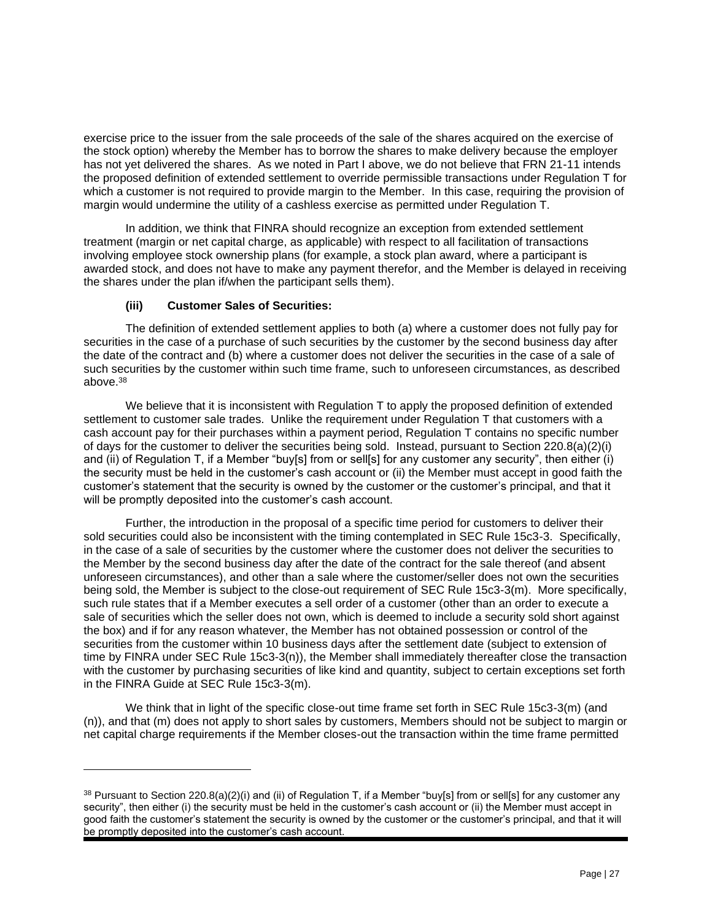exercise price to the issuer from the sale proceeds of the sale of the shares acquired on the exercise of the stock option) whereby the Member has to borrow the shares to make delivery because the employer has not yet delivered the shares. As we noted in Part I above, we do not believe that FRN 21-11 intends the proposed definition of extended settlement to override permissible transactions under Regulation T for which a customer is not required to provide margin to the Member. In this case, requiring the provision of margin would undermine the utility of a cashless exercise as permitted under Regulation T.

In addition, we think that FINRA should recognize an exception from extended settlement treatment (margin or net capital charge, as applicable) with respect to all facilitation of transactions involving employee stock ownership plans (for example, a stock plan award, where a participant is awarded stock, and does not have to make any payment therefor, and the Member is delayed in receiving the shares under the plan if/when the participant sells them).

# **(iii) Customer Sales of Securities:**

The definition of extended settlement applies to both (a) where a customer does not fully pay for securities in the case of a purchase of such securities by the customer by the second business day after the date of the contract and (b) where a customer does not deliver the securities in the case of a sale of such securities by the customer within such time frame, such to unforeseen circumstances, as described above.<sup>38</sup>

We believe that it is inconsistent with Regulation T to apply the proposed definition of extended settlement to customer sale trades. Unlike the requirement under Regulation T that customers with a cash account pay for their purchases within a payment period, Regulation T contains no specific number of days for the customer to deliver the securities being sold. Instead, pursuant to Section 220.8(a)(2)(i) and (ii) of Regulation T, if a Member "buy[s] from or sell[s] for any customer any security", then either (i) the security must be held in the customer's cash account or (ii) the Member must accept in good faith the customer's statement that the security is owned by the customer or the customer's principal, and that it will be promptly deposited into the customer's cash account.

Further, the introduction in the proposal of a specific time period for customers to deliver their sold securities could also be inconsistent with the timing contemplated in SEC Rule 15c3-3. Specifically, in the case of a sale of securities by the customer where the customer does not deliver the securities to the Member by the second business day after the date of the contract for the sale thereof (and absent unforeseen circumstances), and other than a sale where the customer/seller does not own the securities being sold, the Member is subject to the close-out requirement of SEC Rule 15c3-3(m). More specifically, such rule states that if a Member executes a sell order of a customer (other than an order to execute a sale of securities which the seller does not own, which is deemed to include a security sold short against the box) and if for any reason whatever, the Member has not obtained possession or control of the securities from the customer within 10 business days after the settlement date (subject to extension of time by FINRA under SEC Rule 15c3-3(n)), the Member shall immediately thereafter close the transaction with the customer by purchasing securities of like kind and quantity, subject to certain exceptions set forth in the FINRA Guide at SEC Rule 15c3-3(m).

We think that in light of the specific close-out time frame set forth in SEC Rule 15c3-3(m) (and (n)), and that (m) does not apply to short sales by customers, Members should not be subject to margin or net capital charge requirements if the Member closes-out the transaction within the time frame permitted

<sup>38</sup> Pursuant to Section 220.8(a)(2)(i) and (ii) of Regulation T, if a Member "buy[s] from or sell[s] for any customer any security", then either (i) the security must be held in the customer's cash account or (ii) the Member must accept in good faith the customer's statement the security is owned by the customer or the customer's principal, and that it will be promptly deposited into the customer's cash account.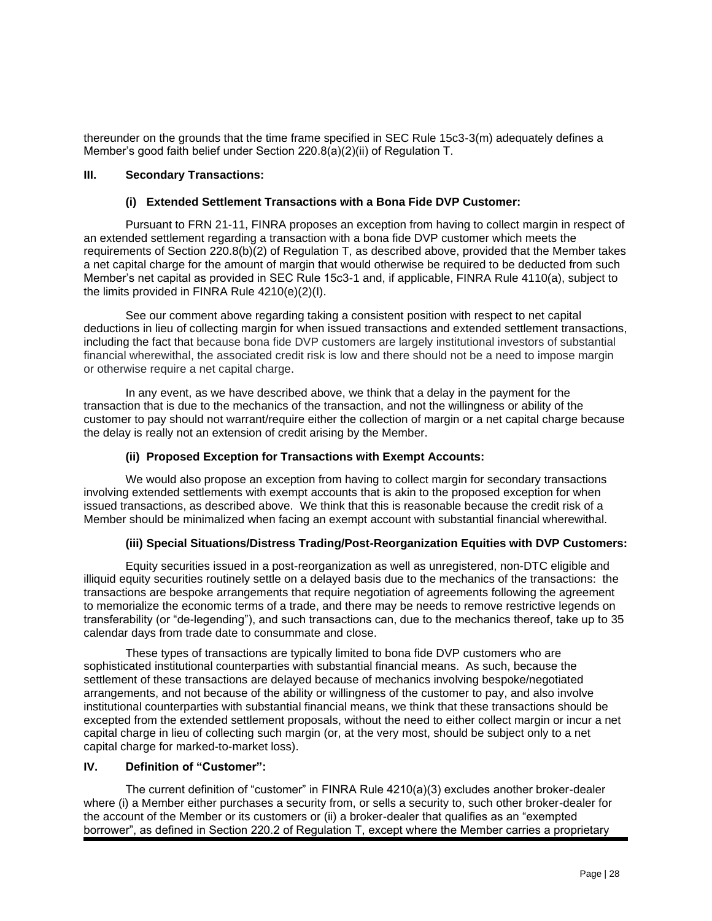thereunder on the grounds that the time frame specified in SEC Rule 15c3-3(m) adequately defines a Member's good faith belief under Section 220.8(a)(2)(ii) of Regulation T.

#### **III. Secondary Transactions:**

# **(i) Extended Settlement Transactions with a Bona Fide DVP Customer:**

Pursuant to FRN 21-11, FINRA proposes an exception from having to collect margin in respect of an extended settlement regarding a transaction with a bona fide DVP customer which meets the requirements of Section 220.8(b)(2) of Regulation T, as described above, provided that the Member takes a net capital charge for the amount of margin that would otherwise be required to be deducted from such Member's net capital as provided in SEC Rule 15c3-1 and, if applicable, FINRA Rule 4110(a), subject to the limits provided in FINRA Rule 4210(e)(2)(I).

See our comment above regarding taking a consistent position with respect to net capital deductions in lieu of collecting margin for when issued transactions and extended settlement transactions, including the fact that because bona fide DVP customers are largely institutional investors of substantial financial wherewithal, the associated credit risk is low and there should not be a need to impose margin or otherwise require a net capital charge.

In any event, as we have described above, we think that a delay in the payment for the transaction that is due to the mechanics of the transaction, and not the willingness or ability of the customer to pay should not warrant/require either the collection of margin or a net capital charge because the delay is really not an extension of credit arising by the Member.

## **(ii) Proposed Exception for Transactions with Exempt Accounts:**

We would also propose an exception from having to collect margin for secondary transactions involving extended settlements with exempt accounts that is akin to the proposed exception for when issued transactions, as described above. We think that this is reasonable because the credit risk of a Member should be minimalized when facing an exempt account with substantial financial wherewithal.

#### **(iii) Special Situations/Distress Trading/Post-Reorganization Equities with DVP Customers:**

Equity securities issued in a post-reorganization as well as unregistered, non-DTC eligible and illiquid equity securities routinely settle on a delayed basis due to the mechanics of the transactions: the transactions are bespoke arrangements that require negotiation of agreements following the agreement to memorialize the economic terms of a trade, and there may be needs to remove restrictive legends on transferability (or "de-legending"), and such transactions can, due to the mechanics thereof, take up to 35 calendar days from trade date to consummate and close.

These types of transactions are typically limited to bona fide DVP customers who are sophisticated institutional counterparties with substantial financial means. As such, because the settlement of these transactions are delayed because of mechanics involving bespoke/negotiated arrangements, and not because of the ability or willingness of the customer to pay, and also involve institutional counterparties with substantial financial means, we think that these transactions should be excepted from the extended settlement proposals, without the need to either collect margin or incur a net capital charge in lieu of collecting such margin (or, at the very most, should be subject only to a net capital charge for marked-to-market loss).

# **IV. Definition of "Customer":**

The current definition of "customer" in FINRA Rule 4210(a)(3) excludes another broker-dealer where (i) a Member either purchases a security from, or sells a security to, such other broker-dealer for the account of the Member or its customers or (ii) a broker-dealer that qualifies as an "exempted borrower", as defined in Section 220.2 of Regulation T, except where the Member carries a proprietary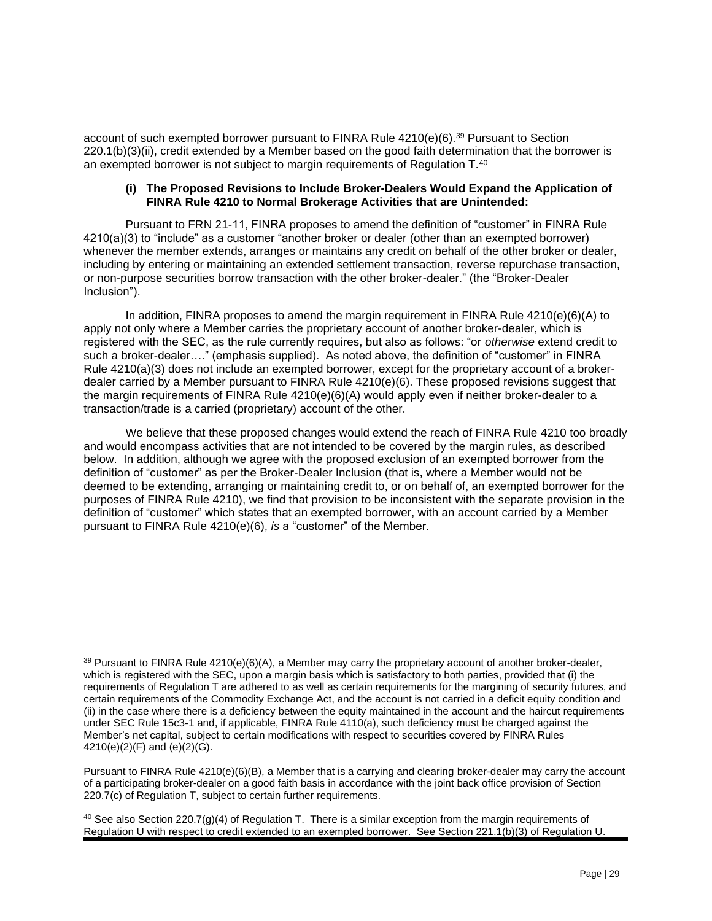account of such exempted borrower pursuant to FINRA Rule 4210(e)(6).<sup>39</sup> Pursuant to Section 220.1(b)(3)(ii), credit extended by a Member based on the good faith determination that the borrower is an exempted borrower is not subject to margin requirements of Regulation  $T^{40}$ 

#### **(i) The Proposed Revisions to Include Broker-Dealers Would Expand the Application of FINRA Rule 4210 to Normal Brokerage Activities that are Unintended:**

Pursuant to FRN 21-11, FINRA proposes to amend the definition of "customer" in FINRA Rule 4210(a)(3) to "include" as a customer "another broker or dealer (other than an exempted borrower) whenever the member extends, arranges or maintains any credit on behalf of the other broker or dealer, including by entering or maintaining an extended settlement transaction, reverse repurchase transaction, or non-purpose securities borrow transaction with the other broker-dealer." (the "Broker-Dealer Inclusion").

In addition, FINRA proposes to amend the margin requirement in FINRA Rule 4210(e)(6)(A) to apply not only where a Member carries the proprietary account of another broker-dealer, which is registered with the SEC, as the rule currently requires, but also as follows: "or *otherwise* extend credit to such a broker-dealer…." (emphasis supplied). As noted above, the definition of "customer" in FINRA Rule 4210(a)(3) does not include an exempted borrower, except for the proprietary account of a brokerdealer carried by a Member pursuant to FINRA Rule 4210(e)(6). These proposed revisions suggest that the margin requirements of FINRA Rule 4210(e)(6)(A) would apply even if neither broker-dealer to a transaction/trade is a carried (proprietary) account of the other.

We believe that these proposed changes would extend the reach of FINRA Rule 4210 too broadly and would encompass activities that are not intended to be covered by the margin rules, as described below. In addition, although we agree with the proposed exclusion of an exempted borrower from the definition of "customer" as per the Broker-Dealer Inclusion (that is, where a Member would not be deemed to be extending, arranging or maintaining credit to, or on behalf of, an exempted borrower for the purposes of FINRA Rule 4210), we find that provision to be inconsistent with the separate provision in the definition of "customer" which states that an exempted borrower, with an account carried by a Member pursuant to FINRA Rule 4210(e)(6), *is* a "customer" of the Member.

<sup>&</sup>lt;sup>39</sup> Pursuant to FINRA Rule 4210(e)(6)(A), a Member may carry the proprietary account of another broker-dealer, which is registered with the SEC, upon a margin basis which is satisfactory to both parties, provided that (i) the requirements of Regulation T are adhered to as well as certain requirements for the margining of security futures, and certain requirements of the Commodity Exchange Act, and the account is not carried in a deficit equity condition and (ii) in the case where there is a deficiency between the equity maintained in the account and the haircut requirements under SEC Rule 15c3-1 and, if applicable, FINRA Rule 4110(a), such deficiency must be charged against the Member's net capital, subject to certain modifications with respect to securities covered by FINRA Rules 4210(e)(2)(F) and (e)(2)(G).

Pursuant to FINRA Rule 4210(e)(6)(B), a Member that is a carrying and clearing broker-dealer may carry the account of a participating broker-dealer on a good faith basis in accordance with the joint back office provision of Section 220.7(c) of Regulation T, subject to certain further requirements.

<sup>&</sup>lt;sup>40</sup> See also Section 220.7(g)(4) of Regulation T. There is a similar exception from the margin requirements of Regulation U with respect to credit extended to an exempted borrower. See Section 221.1(b)(3) of Regulation U.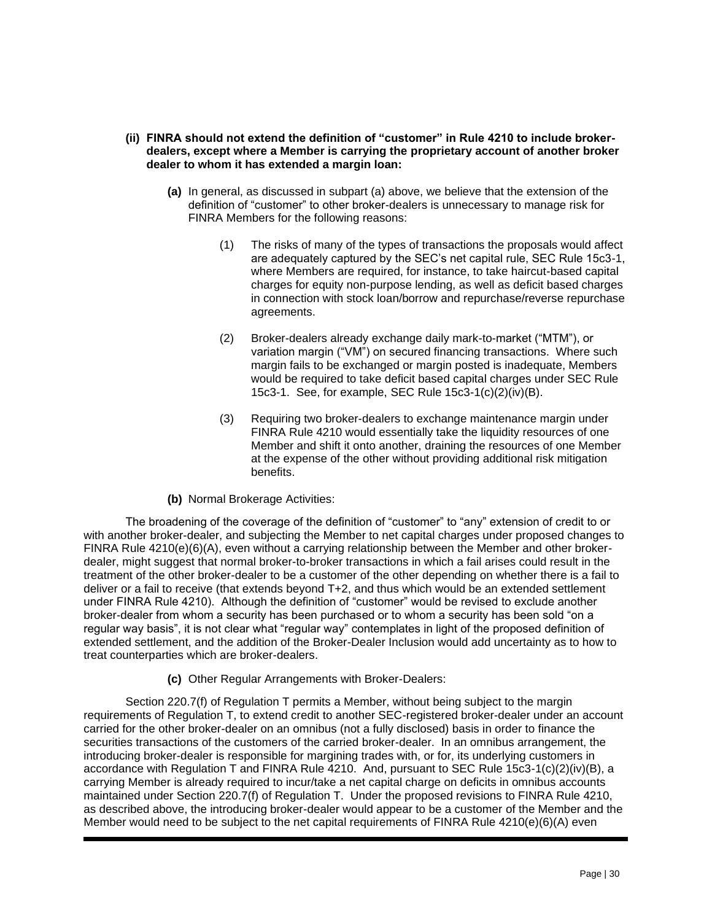- **(ii) FINRA should not extend the definition of "customer" in Rule 4210 to include brokerdealers, except where a Member is carrying the proprietary account of another broker dealer to whom it has extended a margin loan:**
	- **(a)** In general, as discussed in subpart (a) above, we believe that the extension of the definition of "customer" to other broker-dealers is unnecessary to manage risk for FINRA Members for the following reasons:
		- (1) The risks of many of the types of transactions the proposals would affect are adequately captured by the SEC's net capital rule, SEC Rule 15c3-1, where Members are required, for instance, to take haircut-based capital charges for equity non-purpose lending, as well as deficit based charges in connection with stock loan/borrow and repurchase/reverse repurchase agreements.
		- (2) Broker-dealers already exchange daily mark-to-market ("MTM"), or variation margin ("VM") on secured financing transactions. Where such margin fails to be exchanged or margin posted is inadequate, Members would be required to take deficit based capital charges under SEC Rule 15c3-1. See, for example, SEC Rule 15c3-1(c)(2)(iv)(B).
		- (3) Requiring two broker-dealers to exchange maintenance margin under FINRA Rule 4210 would essentially take the liquidity resources of one Member and shift it onto another, draining the resources of one Member at the expense of the other without providing additional risk mitigation benefits.

#### **(b)** Normal Brokerage Activities:

The broadening of the coverage of the definition of "customer" to "any" extension of credit to or with another broker-dealer, and subjecting the Member to net capital charges under proposed changes to FINRA Rule 4210(e)(6)(A), even without a carrying relationship between the Member and other brokerdealer, might suggest that normal broker-to-broker transactions in which a fail arises could result in the treatment of the other broker-dealer to be a customer of the other depending on whether there is a fail to deliver or a fail to receive (that extends beyond T+2, and thus which would be an extended settlement under FINRA Rule 4210). Although the definition of "customer" would be revised to exclude another broker-dealer from whom a security has been purchased or to whom a security has been sold "on a regular way basis", it is not clear what "regular way" contemplates in light of the proposed definition of extended settlement, and the addition of the Broker-Dealer Inclusion would add uncertainty as to how to treat counterparties which are broker-dealers.

**(c)** Other Regular Arrangements with Broker-Dealers:

Section 220.7(f) of Regulation T permits a Member, without being subject to the margin requirements of Regulation T, to extend credit to another SEC-registered broker-dealer under an account carried for the other broker-dealer on an omnibus (not a fully disclosed) basis in order to finance the securities transactions of the customers of the carried broker-dealer. In an omnibus arrangement, the introducing broker-dealer is responsible for margining trades with, or for, its underlying customers in accordance with Regulation T and FINRA Rule 4210. And, pursuant to SEC Rule 15c3-1(c)(2)(iv)(B), a carrying Member is already required to incur/take a net capital charge on deficits in omnibus accounts maintained under Section 220.7(f) of Regulation T. Under the proposed revisions to FINRA Rule 4210, as described above, the introducing broker-dealer would appear to be a customer of the Member and the Member would need to be subject to the net capital requirements of FINRA Rule 4210(e)(6)(A) even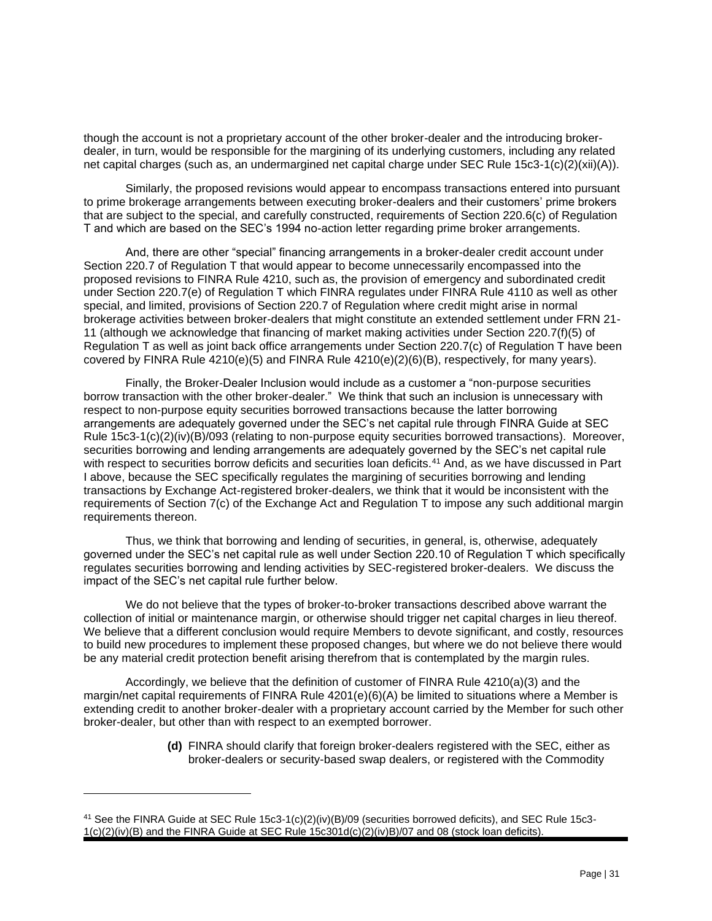though the account is not a proprietary account of the other broker-dealer and the introducing brokerdealer, in turn, would be responsible for the margining of its underlying customers, including any related net capital charges (such as, an undermargined net capital charge under SEC Rule 15c3-1(c)(2)(xii)(A)).

Similarly, the proposed revisions would appear to encompass transactions entered into pursuant to prime brokerage arrangements between executing broker-dealers and their customers' prime brokers that are subject to the special, and carefully constructed, requirements of Section 220.6(c) of Regulation T and which are based on the SEC's 1994 no-action letter regarding prime broker arrangements.

And, there are other "special" financing arrangements in a broker-dealer credit account under Section 220.7 of Regulation T that would appear to become unnecessarily encompassed into the proposed revisions to FINRA Rule 4210, such as, the provision of emergency and subordinated credit under Section 220.7(e) of Regulation T which FINRA regulates under FINRA Rule 4110 as well as other special, and limited, provisions of Section 220.7 of Regulation where credit might arise in normal brokerage activities between broker-dealers that might constitute an extended settlement under FRN 21- 11 (although we acknowledge that financing of market making activities under Section 220.7(f)(5) of Regulation T as well as joint back office arrangements under Section 220.7(c) of Regulation T have been covered by FINRA Rule 4210(e)(5) and FINRA Rule 4210(e)(2)(6)(B), respectively, for many years).

Finally, the Broker-Dealer Inclusion would include as a customer a "non-purpose securities borrow transaction with the other broker-dealer." We think that such an inclusion is unnecessary with respect to non-purpose equity securities borrowed transactions because the latter borrowing arrangements are adequately governed under the SEC's net capital rule through FINRA Guide at SEC Rule 15c3-1(c)(2)(iv)(B)/093 (relating to non-purpose equity securities borrowed transactions). Moreover, securities borrowing and lending arrangements are adequately governed by the SEC's net capital rule with respect to securities borrow deficits and securities loan deficits.<sup>41</sup> And, as we have discussed in Part I above, because the SEC specifically regulates the margining of securities borrowing and lending transactions by Exchange Act-registered broker-dealers, we think that it would be inconsistent with the requirements of Section 7(c) of the Exchange Act and Regulation T to impose any such additional margin requirements thereon.

Thus, we think that borrowing and lending of securities, in general, is, otherwise, adequately governed under the SEC's net capital rule as well under Section 220.10 of Regulation T which specifically regulates securities borrowing and lending activities by SEC-registered broker-dealers. We discuss the impact of the SEC's net capital rule further below.

We do not believe that the types of broker-to-broker transactions described above warrant the collection of initial or maintenance margin, or otherwise should trigger net capital charges in lieu thereof. We believe that a different conclusion would require Members to devote significant, and costly, resources to build new procedures to implement these proposed changes, but where we do not believe there would be any material credit protection benefit arising therefrom that is contemplated by the margin rules.

Accordingly, we believe that the definition of customer of FINRA Rule 4210(a)(3) and the margin/net capital requirements of FINRA Rule 4201(e)(6)(A) be limited to situations where a Member is extending credit to another broker-dealer with a proprietary account carried by the Member for such other broker-dealer, but other than with respect to an exempted borrower.

> **(d)** FINRA should clarify that foreign broker-dealers registered with the SEC, either as broker-dealers or security-based swap dealers, or registered with the Commodity

<sup>41</sup> See the FINRA Guide at SEC Rule 15c3-1(c)(2)(iv)(B)/09 (securities borrowed deficits), and SEC Rule 15c3- 1(c)(2)(iv)(B) and the FINRA Guide at SEC Rule 15c301d(c)(2)(iv)B)/07 and 08 (stock loan deficits).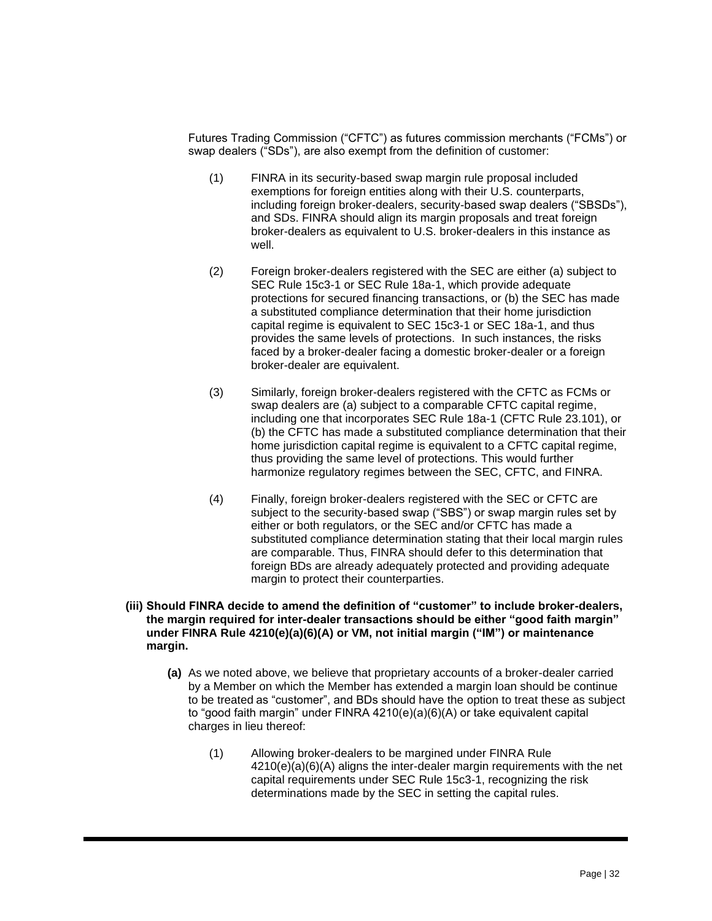Futures Trading Commission ("CFTC") as futures commission merchants ("FCMs") or swap dealers ("SDs"), are also exempt from the definition of customer:

- (1) FINRA in its security-based swap margin rule proposal included exemptions for foreign entities along with their U.S. counterparts, including foreign broker-dealers, security-based swap dealers ("SBSDs"), and SDs. FINRA should align its margin proposals and treat foreign broker-dealers as equivalent to U.S. broker-dealers in this instance as well.
- (2) Foreign broker-dealers registered with the SEC are either (a) subject to SEC Rule 15c3-1 or SEC Rule 18a-1, which provide adequate protections for secured financing transactions, or (b) the SEC has made a substituted compliance determination that their home jurisdiction capital regime is equivalent to SEC 15c3-1 or SEC 18a-1, and thus provides the same levels of protections. In such instances, the risks faced by a broker-dealer facing a domestic broker-dealer or a foreign broker-dealer are equivalent.
- (3) Similarly, foreign broker-dealers registered with the CFTC as FCMs or swap dealers are (a) subject to a comparable CFTC capital regime, including one that incorporates SEC Rule 18a-1 (CFTC Rule 23.101), or (b) the CFTC has made a substituted compliance determination that their home jurisdiction capital regime is equivalent to a CFTC capital regime, thus providing the same level of protections. This would further harmonize regulatory regimes between the SEC, CFTC, and FINRA.
- (4) Finally, foreign broker-dealers registered with the SEC or CFTC are subject to the security-based swap ("SBS") or swap margin rules set by either or both regulators, or the SEC and/or CFTC has made a substituted compliance determination stating that their local margin rules are comparable. Thus, FINRA should defer to this determination that foreign BDs are already adequately protected and providing adequate margin to protect their counterparties.
- **(iii) Should FINRA decide to amend the definition of "customer" to include broker-dealers, the margin required for inter-dealer transactions should be either "good faith margin" under FINRA Rule 4210(e)(a)(6)(A) or VM, not initial margin ("IM") or maintenance margin.**
	- **(a)** As we noted above, we believe that proprietary accounts of a broker-dealer carried by a Member on which the Member has extended a margin loan should be continue to be treated as "customer", and BDs should have the option to treat these as subject to "good faith margin" under FINRA 4210(e)(a)(6)(A) or take equivalent capital charges in lieu thereof:
		- (1) Allowing broker-dealers to be margined under FINRA Rule 4210(e)(a)(6)(A) aligns the inter-dealer margin requirements with the net capital requirements under SEC Rule 15c3-1, recognizing the risk determinations made by the SEC in setting the capital rules.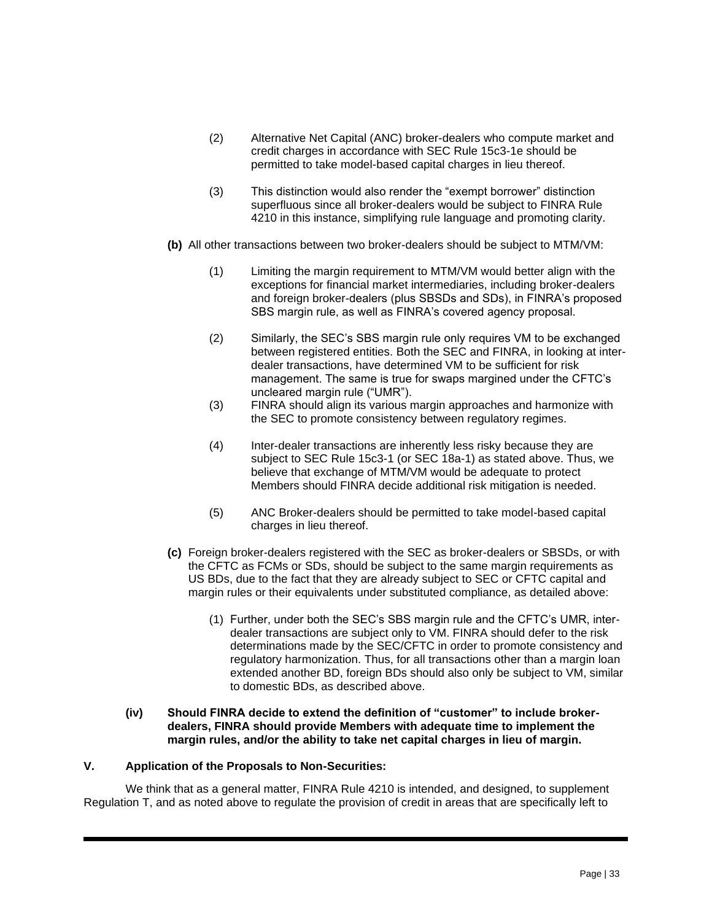- (2) Alternative Net Capital (ANC) broker-dealers who compute market and credit charges in accordance with SEC Rule 15c3-1e should be permitted to take model-based capital charges in lieu thereof.
- (3) This distinction would also render the "exempt borrower" distinction superfluous since all broker-dealers would be subject to FINRA Rule 4210 in this instance, simplifying rule language and promoting clarity.
- **(b)** All other transactions between two broker-dealers should be subject to MTM/VM:
	- (1) Limiting the margin requirement to MTM/VM would better align with the exceptions for financial market intermediaries, including broker-dealers and foreign broker-dealers (plus SBSDs and SDs), in FINRA's proposed SBS margin rule, as well as FINRA's covered agency proposal.
	- (2) Similarly, the SEC's SBS margin rule only requires VM to be exchanged between registered entities. Both the SEC and FINRA, in looking at interdealer transactions, have determined VM to be sufficient for risk management. The same is true for swaps margined under the CFTC's uncleared margin rule ("UMR").
	- (3) FINRA should align its various margin approaches and harmonize with the SEC to promote consistency between regulatory regimes.
	- (4) Inter-dealer transactions are inherently less risky because they are subject to SEC Rule 15c3-1 (or SEC 18a-1) as stated above. Thus, we believe that exchange of MTM/VM would be adequate to protect Members should FINRA decide additional risk mitigation is needed.
	- (5) ANC Broker-dealers should be permitted to take model-based capital charges in lieu thereof.
- **(c)** Foreign broker-dealers registered with the SEC as broker-dealers or SBSDs, or with the CFTC as FCMs or SDs, should be subject to the same margin requirements as US BDs, due to the fact that they are already subject to SEC or CFTC capital and margin rules or their equivalents under substituted compliance, as detailed above:
	- (1) Further, under both the SEC's SBS margin rule and the CFTC's UMR, interdealer transactions are subject only to VM. FINRA should defer to the risk determinations made by the SEC/CFTC in order to promote consistency and regulatory harmonization. Thus, for all transactions other than a margin loan extended another BD, foreign BDs should also only be subject to VM, similar to domestic BDs, as described above.
- **(iv) Should FINRA decide to extend the definition of "customer" to include brokerdealers, FINRA should provide Members with adequate time to implement the margin rules, and/or the ability to take net capital charges in lieu of margin.**

#### **V. Application of the Proposals to Non-Securities:**

We think that as a general matter, FINRA Rule 4210 is intended, and designed, to supplement Regulation T, and as noted above to regulate the provision of credit in areas that are specifically left to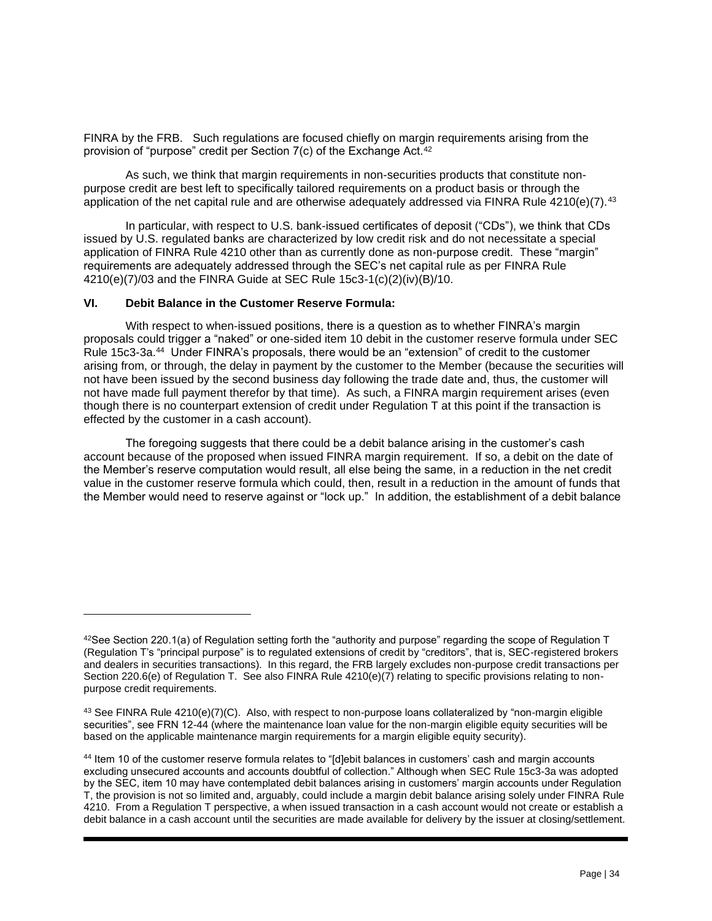FINRA by the FRB. Such regulations are focused chiefly on margin requirements arising from the provision of "purpose" credit per Section 7(c) of the Exchange Act.<sup>42</sup>

As such, we think that margin requirements in non-securities products that constitute nonpurpose credit are best left to specifically tailored requirements on a product basis or through the application of the net capital rule and are otherwise adequately addressed via FINRA Rule 4210(e)(7).<sup>43</sup>

In particular, with respect to U.S. bank-issued certificates of deposit ("CDs"), we think that CDs issued by U.S. regulated banks are characterized by low credit risk and do not necessitate a special application of FINRA Rule 4210 other than as currently done as non-purpose credit. These "margin" requirements are adequately addressed through the SEC's net capital rule as per FINRA Rule 4210(e)(7)/03 and the FINRA Guide at SEC Rule 15c3-1(c)(2)(iv)(B)/10.

#### **VI. Debit Balance in the Customer Reserve Formula:**

With respect to when-issued positions, there is a question as to whether FINRA's margin proposals could trigger a "naked" or one-sided item 10 debit in the customer reserve formula under SEC Rule 15c3-3a.<sup>44</sup> Under FINRA's proposals, there would be an "extension" of credit to the customer arising from, or through, the delay in payment by the customer to the Member (because the securities will not have been issued by the second business day following the trade date and, thus, the customer will not have made full payment therefor by that time). As such, a FINRA margin requirement arises (even though there is no counterpart extension of credit under Regulation T at this point if the transaction is effected by the customer in a cash account).

The foregoing suggests that there could be a debit balance arising in the customer's cash account because of the proposed when issued FINRA margin requirement. If so, a debit on the date of the Member's reserve computation would result, all else being the same, in a reduction in the net credit value in the customer reserve formula which could, then, result in a reduction in the amount of funds that the Member would need to reserve against or "lock up." In addition, the establishment of a debit balance

 $42$ See Section 220.1(a) of Regulation setting forth the "authority and purpose" regarding the scope of Regulation T (Regulation T's "principal purpose" is to regulated extensions of credit by "creditors", that is, SEC-registered brokers and dealers in securities transactions). In this regard, the FRB largely excludes non-purpose credit transactions per Section 220.6(e) of Regulation T. See also FINRA Rule 4210(e)(7) relating to specific provisions relating to nonpurpose credit requirements.

 $43$  See FINRA Rule 4210(e)(7)(C). Also, with respect to non-purpose loans collateralized by "non-margin eligible securities", see FRN 12-44 (where the maintenance loan value for the non-margin eligible equity securities will be based on the applicable maintenance margin requirements for a margin eligible equity security).

<sup>44</sup> Item 10 of the customer reserve formula relates to "[d]ebit balances in customers' cash and margin accounts excluding unsecured accounts and accounts doubtful of collection." Although when SEC Rule 15c3-3a was adopted by the SEC, item 10 may have contemplated debit balances arising in customers' margin accounts under Regulation T, the provision is not so limited and, arguably, could include a margin debit balance arising solely under FINRA Rule 4210. From a Regulation T perspective, a when issued transaction in a cash account would not create or establish a debit balance in a cash account until the securities are made available for delivery by the issuer at closing/settlement.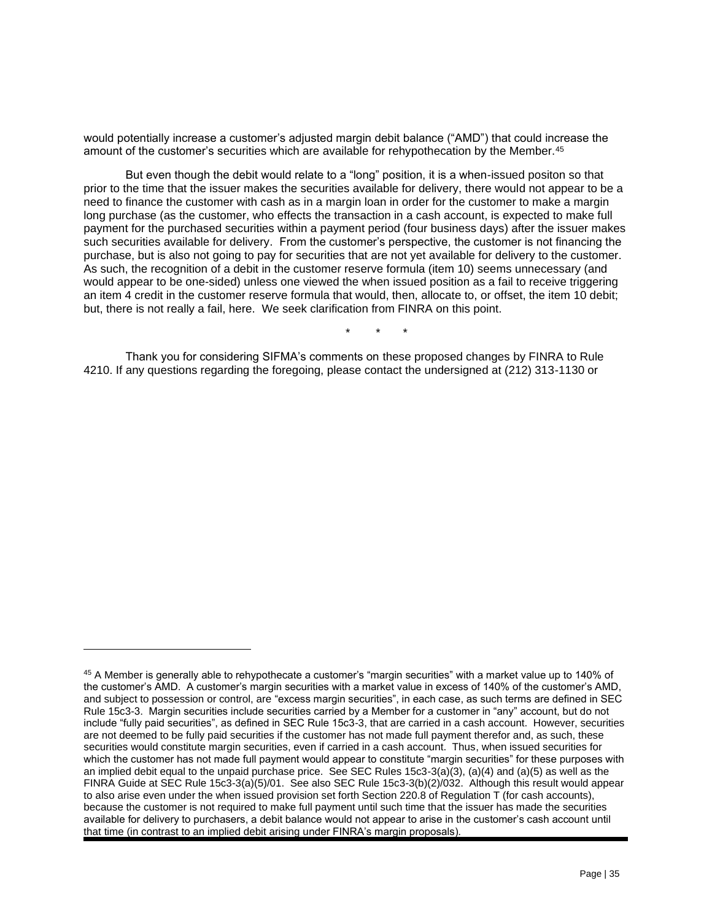would potentially increase a customer's adjusted margin debit balance ("AMD") that could increase the amount of the customer's securities which are available for rehypothecation by the Member.<sup>45</sup>

But even though the debit would relate to a "long" position, it is a when-issued positon so that prior to the time that the issuer makes the securities available for delivery, there would not appear to be a need to finance the customer with cash as in a margin loan in order for the customer to make a margin long purchase (as the customer, who effects the transaction in a cash account, is expected to make full payment for the purchased securities within a payment period (four business days) after the issuer makes such securities available for delivery. From the customer's perspective, the customer is not financing the purchase, but is also not going to pay for securities that are not yet available for delivery to the customer. As such, the recognition of a debit in the customer reserve formula (item 10) seems unnecessary (and would appear to be one-sided) unless one viewed the when issued position as a fail to receive triggering an item 4 credit in the customer reserve formula that would, then, allocate to, or offset, the item 10 debit; but, there is not really a fail, here. We seek clarification from FINRA on this point.

\* \* \*

Thank you for considering SIFMA's comments on these proposed changes by FINRA to Rule 4210. If any questions regarding the foregoing, please contact the undersigned at (212) 313-1130 or

<sup>45</sup> A Member is generally able to rehypothecate a customer's "margin securities" with a market value up to 140% of the customer's AMD. A customer's margin securities with a market value in excess of 140% of the customer's AMD, and subject to possession or control, are "excess margin securities", in each case, as such terms are defined in SEC Rule 15c3-3. Margin securities include securities carried by a Member for a customer in "any" account, but do not include "fully paid securities", as defined in SEC Rule 15c3-3, that are carried in a cash account. However, securities are not deemed to be fully paid securities if the customer has not made full payment therefor and, as such, these securities would constitute margin securities, even if carried in a cash account. Thus, when issued securities for which the customer has not made full payment would appear to constitute "margin securities" for these purposes with an implied debit equal to the unpaid purchase price. See SEC Rules 15c3-3(a)(3), (a)(4) and (a)(5) as well as the FINRA Guide at SEC Rule 15c3-3(a)(5)/01. See also SEC Rule 15c3-3(b)(2)/032. Although this result would appear to also arise even under the when issued provision set forth Section 220.8 of Regulation T (for cash accounts), because the customer is not required to make full payment until such time that the issuer has made the securities available for delivery to purchasers, a debit balance would not appear to arise in the customer's cash account until that time (in contrast to an implied debit arising under FINRA's margin proposals).